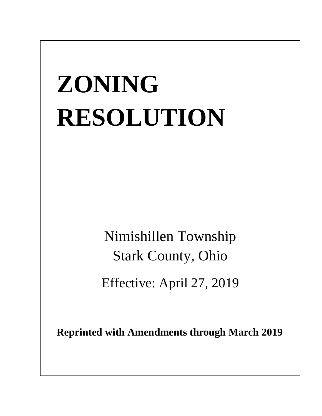# **ZONING RESOLUTION**

Nimishillen Township Stark County, Ohio Effective: April 27, 2019

**Reprinted with Amendments through March 2019**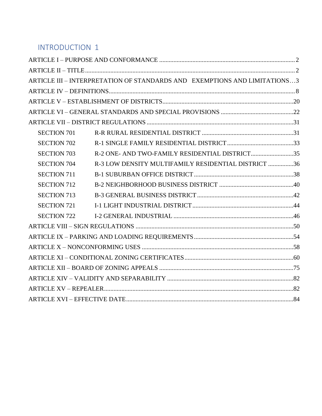# [INTRODUCTION](#page-4-0) 1

|                    | ARTICLE III - INTERPRETATION OF STANDARDS AND EXEMPTIONS AND LIMITATIONS3 |  |  |  |
|--------------------|---------------------------------------------------------------------------|--|--|--|
|                    |                                                                           |  |  |  |
|                    |                                                                           |  |  |  |
|                    |                                                                           |  |  |  |
|                    |                                                                           |  |  |  |
| <b>SECTION 701</b> |                                                                           |  |  |  |
| <b>SECTION 702</b> |                                                                           |  |  |  |
| <b>SECTION 703</b> | R-2 ONE- AND TWO-FAMILY RESIDENTIAL DISTRICT35                            |  |  |  |
| <b>SECTION 704</b> | R-3 LOW DENSITY MULTIFAMILY RESIDENTIAL DISTRICT 36                       |  |  |  |
| <b>SECTION 711</b> |                                                                           |  |  |  |
| <b>SECTION 712</b> |                                                                           |  |  |  |
| <b>SECTION 713</b> |                                                                           |  |  |  |
| <b>SECTION 721</b> |                                                                           |  |  |  |
| <b>SECTION 722</b> |                                                                           |  |  |  |
|                    |                                                                           |  |  |  |
|                    |                                                                           |  |  |  |
|                    |                                                                           |  |  |  |
|                    |                                                                           |  |  |  |
|                    |                                                                           |  |  |  |
|                    |                                                                           |  |  |  |
|                    |                                                                           |  |  |  |
|                    |                                                                           |  |  |  |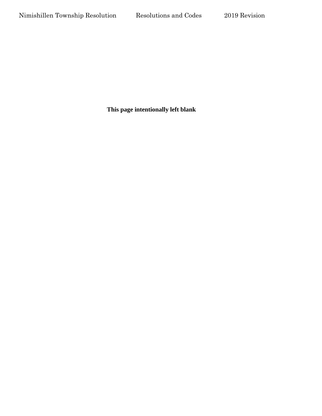**This page intentionally left blank**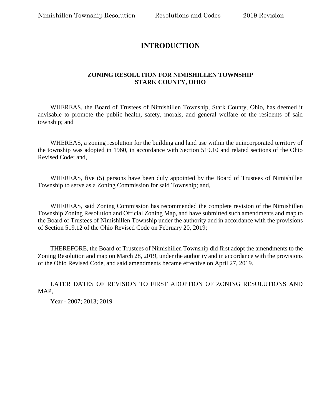# **INTRODUCTION**

## <span id="page-4-0"></span>**ZONING RESOLUTION FOR NIMISHILLEN TOWNSHIP STARK COUNTY, OHIO**

WHEREAS, the Board of Trustees of Nimishillen Township, Stark County, Ohio, has deemed it advisable to promote the public health, safety, morals, and general welfare of the residents of said township; and

WHEREAS, a zoning resolution for the building and land use within the unincorporated territory of the township was adopted in 1960, in accordance with Section 519.10 and related sections of the Ohio Revised Code; and,

WHEREAS, five (5) persons have been duly appointed by the Board of Trustees of Nimishillen Township to serve as a Zoning Commission for said Township; and,

WHEREAS, said Zoning Commission has recommended the complete revision of the Nimishillen Township Zoning Resolution and Official Zoning Map, and have submitted such amendments and map to the Board of Trustees of Nimishillen Township under the authority and in accordance with the provisions of Section 519.12 of the Ohio Revised Code on February 20, 2019;

THEREFORE, the Board of Trustees of Nimishillen Township did first adopt the amendments to the Zoning Resolution and map on March 28, 2019, under the authority and in accordance with the provisions of the Ohio Revised Code, and said amendments became effective on April 27, 2019.

LATER DATES OF REVISION TO FIRST ADOPTION OF ZONING RESOLUTIONS AND MAP,

<span id="page-4-1"></span>Year - 2007; 2013; 2019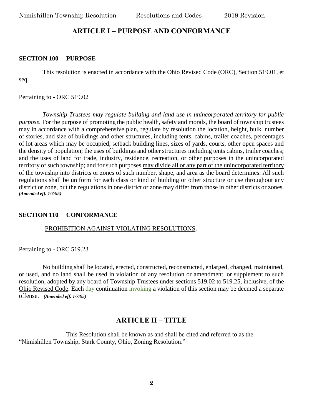# **ARTICLE I – PURPOSE AND CONFORMANCE**

#### **SECTION 100 PURPOSE**

This resolution is enacted in accordance with the Ohio Revised Code (ORC), Section 519.01, et seq.

Pertaining to - ORC 519.02

*Township Trustees may regulate building and land use in unincorporated territory for public purpose.* For the purpose of promoting the public health, safety and morals, the board of township trustees may in accordance with a comprehensive plan, regulate by resolution the location, height, bulk, number of stories, and size of buildings and other structures, including tents, cabins, trailer coaches, percentages of lot areas which may be occupied, setback building lines, sizes of yards, courts, other open spaces and the density of population; the uses of buildings and other structures including tents cabins, trailer coaches; and the uses of land for trade, industry, residence, recreation, or other purposes in the unincorporated territory of such township; and for such purposes may divide all or any part of the unincorporated territory of the township into districts or zones of such number, shape, and area as the board determines. All such regulations shall be uniform for each class or kind of building or other structure or use throughout any district or zone, but the regulations in one district or zone may differ from those in other districts or zones. *(Amended eff. 1/7/95)*

#### **SECTION 110 CONFORMANCE**

#### PROHIBITION AGAINST VIOLATING RESOLUTIONS.

Pertaining to - ORC 519.23

No building shall be located, erected, constructed, reconstructed, enlarged, changed, maintained, or used, and no land shall be used in violation of any resolution or amendment, or supplement to such resolution, adopted by any board of Township Trustees under sections 519.02 to 519.25, inclusive, of the Ohio Revised Code. Each day continuation invoking a violation of this section may be deemed a separate offense. *(Amended eff. 1/7/95)*

# **ARTICLE II – TITLE**

<span id="page-5-1"></span><span id="page-5-0"></span>This Resolution shall be known as and shall be cited and referred to as the "Nimishillen Township, Stark County, Ohio, Zoning Resolution."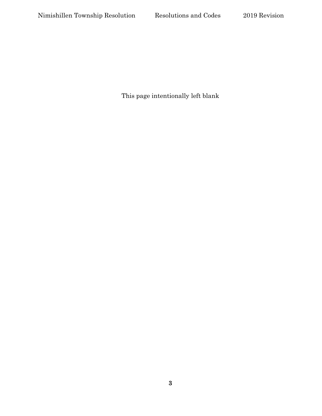This page intentionally left blank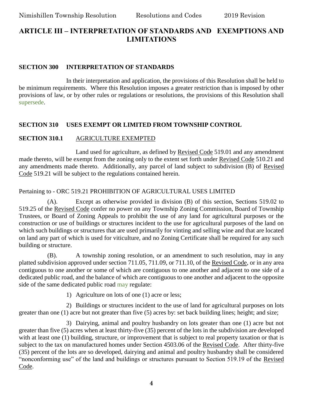# **ARTICLE III – INTERPRETATION OF STANDARDS AND EXEMPTIONS AND LIMITATIONS**

#### **SECTION 300 INTERPRETATION OF STANDARDS**

In their interpretation and application, the provisions of this Resolution shall be held to be minimum requirements. Where this Resolution imposes a greater restriction than is imposed by other provisions of law, or by other rules or regulations or resolutions, the provisions of this Resolution shall supersede.

#### **SECTION 310 USES EXEMPT OR LIMITED FROM TOWNSHIP CONTROL**

#### **SECTION 310.1** AGRICULTURE EXEMPTED

Land used for agriculture, as defined by Revised Code 519.01 and any amendment made thereto, will be exempt from the zoning only to the extent set forth under Revised Code 510.21 and any amendments made thereto. Additionally, any parcel of land subject to subdivision (B) of Revised Code 519.21 will be subject to the regulations contained herein.

#### Pertaining to - ORC 519.21 PROHIBITION OF AGRICULTURAL USES LIMITED

(A). Except as otherwise provided in division (B) of this section, Sections 519.02 to 519.25 of the Revised Code confer no power on any Township Zoning Commission, Board of Township Trustees, or Board of Zoning Appeals to prohibit the use of any land for agricultural purposes or the construction or use of buildings or structures incident to the use for agricultural purposes of the land on which such buildings or structures that are used primarily for vinting and selling wine and that are located on land any part of which is used for viticulture, and no Zoning Certificate shall be required for any such building or structure.

(B). A township zoning resolution, or an amendment to such resolution, may in any platted subdivision approved under section 711.05, 711.09, or 711.10, of the Revised Code, or in any area contiguous to one another or some of which are contiguous to one another and adjacent to one side of a dedicated public road, and the balance of which are contiguous to one another and adjacent to the opposite side of the same dedicated public road may regulate:

1) Agriculture on lots of one (1) acre or less;

2) Buildings or structures incident to the use of land for agricultural purposes on lots greater than one (1) acre but not greater than five (5) acres by: set back building lines; height; and size;

3) Dairying, animal and poultry husbandry on lots greater than one (1) acre but not greater than five (5) acres when at least thirty-five (35) percent of the lots in the subdivision are developed with at least one (1) building, structure, or improvement that is subject to real property taxation or that is subject to the tax on manufactured homes under Section 4503.06 of the Revised Code. After thirty-five (35) percent of the lots are so developed, dairying and animal and poultry husbandry shall be considered "nonconforming use" of the land and buildings or structures pursuant to Section 519.19 of the Revised Code.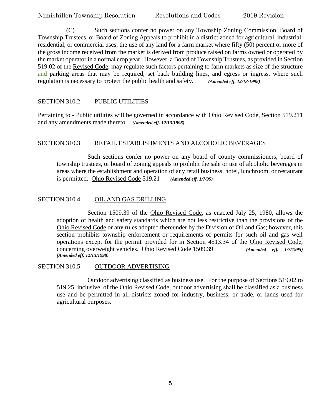Nimishillen Township Resolution Resolutions and Codes 2019 Revision

(C) Such sections confer no power on any Township Zoning Commission, Board of Township Trustees, or Board of Zoning Appeals to prohibit in a district zoned for agricultural, industrial, residential, or commercial uses, the use of any land for a farm market where fifty (50) percent or more of the gross income received from the market is derived from produce raised on farms owned or operated by the market operator in a normal crop year. However, a Board of Township Trustees, as provided in Section 519.02 of the Revised Code, may regulate such factors pertaining to farm markets as size of the structure and parking areas that may be required, set back building lines, and egress or ingress, where such regulation is necessary to protect the public health and safety. *(Amended eff. 12/13/1998)*

#### SECTION 310.2 PUBLIC UTILITIES

Pertaining to - Public utilities will be governed in accordance with Ohio Revised Code, Section 519.211 and any amendments made thereto. *(Amended eff. 12/13/1998)*

#### SECTION 310.3 RETAIL ESTABLISHMENTS AND ALCOHOLIC BEVERAGES

Such sections confer no power on any board of county commissioners, board of township trustees, or board of zoning appeals to prohibit the sale or use of alcoholic beverages in areas where the establishment and operation of any retail business, hotel, lunchroom, or restaurant is permitted. Ohio Revised Code 519.21 *(Amended eff. 1/7/95)*

#### SECTION 310.4 OIL AND GAS DRILLING

Section 1509.39 of the Ohio Revised Code, as enacted July 25, 1980, allows the adoption of health and safety standards which are not less restrictive than the provisions of the Ohio Revised Code or any rules adopted thereunder by the Division of Oil and Gas; however, this section prohibits township enforcement or requirements of permits for such oil and gas well operations except for the permit provided for in Section 4513.34 of the Ohio Revised Code, concerning overweight vehicles. Ohio Revised Code 1509.39 *(Amended eff. 1/7/1995) (Amended eff. 12/13/1998)*

#### SECTION 310.5 OUTDOOR ADVERTISING

Outdoor advertising classified as business use. For the purpose of Sections 519.02 to 519.25, inclusive, of the Ohio Revised Code, outdoor advertising shall be classified as a business use and be permitted in all districts zoned for industry, business, or trade, or lands used for agricultural purposes.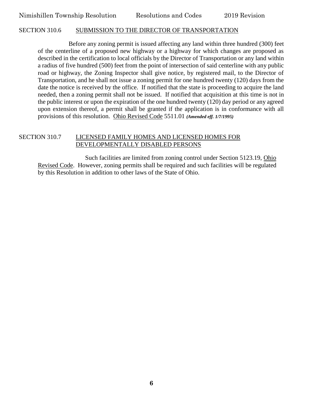#### SECTION 310.6 SUBMISSION TO THE DIRECTOR OF TRANSPORTATION

Before any zoning permit is issued affecting any land within three hundred (300) feet of the centerline of a proposed new highway or a highway for which changes are proposed as described in the certification to local officials by the Director of Transportation or any land within a radius of five hundred (500) feet from the point of intersection of said centerline with any public road or highway, the Zoning Inspector shall give notice, by registered mail, to the Director of Transportation, and he shall not issue a zoning permit for one hundred twenty (120) days from the date the notice is received by the office. If notified that the state is proceeding to acquire the land needed, then a zoning permit shall not be issued. If notified that acquisition at this time is not in the public interest or upon the expiration of the one hundred twenty (120) day period or any agreed upon extension thereof, a permit shall be granted if the application is in conformance with all provisions of this resolution. Ohio Revised Code 5511.01 *(Amended eff. 1/7/1995)*

#### SECTION 310.7 LICENSED FAMILY HOMES AND LICENSED HOMES FOR DEVELOPMENTALLY DISABLED PERSONS

Such facilities are limited from zoning control under Section 5123.19, Ohio Revised Code. However, zoning permits shall be required and such facilities will be regulated by this Resolution in addition to other laws of the State of Ohio.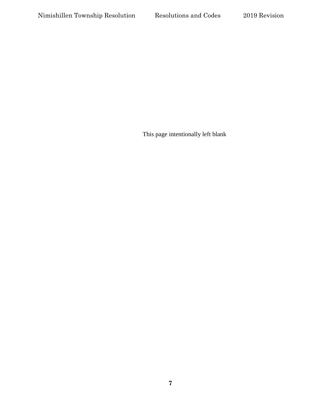This page intentionally left blank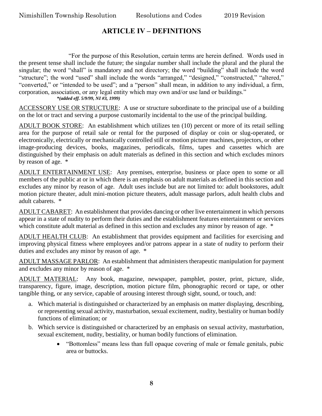# **ARTICLE IV – DEFINITIONS**

<span id="page-11-0"></span>"For the purpose of this Resolution, certain terms are herein defined. Words used in the present tense shall include the future; the singular number shall include the plural and the plural the singular; the word "shall" is mandatory and not directory; the word "building" shall include the word "structure"; the word "used" shall include the words "arranged," "designed," "constructed," "altered," "converted," or "intended to be used"; and a "person" shall mean, in addition to any individual, a firm, corporation, association, or any legal entity which may own and/or use land or buildings."

#### *\*(added eff. 5/9/99, NI #3, 1999)*

ACCESSORY USE OR STRUCTURE: A use or structure subordinate to the principal use of a building on the lot or tract and serving a purpose customarily incidental to the use of the principal building.

ADULT BOOK STORE: An establishment which utilizes ten (10) percent or more of its retail selling area for the purpose of retail sale or rental for the purposed of display or coin or slug-operated, or electronically, electrically or mechanically controlled still or motion picture machines, projectors, or other image-producing devices, books, magazines, periodicals, films, tapes and cassettes which are distinguished by their emphasis on adult materials as defined in this section and which excludes minors by reason of age. \*

ADULT ENTERTAINMENT USE: Any premises, enterprise, business or place open to some or all members of the public at or in which there is an emphasis on adult materials as defined in this section and excludes any minor by reason of age. Adult uses include but are not limited to: adult bookstores, adult motion picture theater, adult mini-motion picture theaters, adult massage parlors, adult health clubs and adult cabarets. \*

ADULT CABARET: An establishment that provides dancing or other live entertainment in which persons appear in a state of nudity to perform their duties and the establishment features entertainment or services which constitute adult material as defined in this section and excludes any minor by reason of age.  $*$ 

ADULT HEALTH CLUB: An establishment that provides equipment and facilities for exercising and improving physical fitness where employees and/or patrons appear in a state of nudity to perform their duties and excludes any minor by reason of age. \*

ADULT MASSAGE PARLOR: An establishment that administers therapeutic manipulation for payment and excludes any minor by reason of age. \*

ADULT MATERIAL: Any book, magazine, newspaper, pamphlet, poster, print, picture, slide, transparency, figure, image, description, motion picture film, phonographic record or tape, or other tangible thing, or any service, capable of arousing interest through sight, sound, or touch, and:

- a. Which material is distinguished or characterized by an emphasis on matter displaying, describing, or representing sexual activity, masturbation, sexual excitement, nudity, bestiality or human bodily functions of elimination; or
- b. Which service is distinguished or characterized by an emphasis on sexual activity, masturbation, sexual excitement, nudity, bestiality, or human bodily functions of elimination.
	- "Bottomless" means less than full opaque covering of male or female genitals, pubic area or buttocks.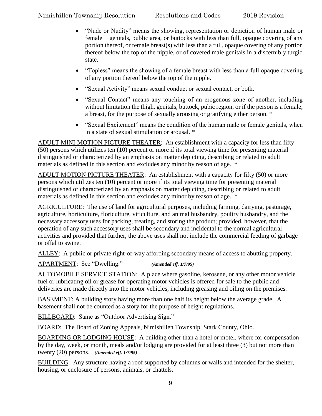Nimishillen Township Resolution Resolutions and Codes 2019 Revision

- "Nude or Nudity" means the showing, representation or depiction of human male or female genitals, public area, or buttocks with less than full, opaque covering of any portion thereof, or female breast(s) with less than a full, opaque covering of any portion thereof below the top of the nipple, or of covered male genitals in a discernibly turgid state.
- "Topless" means the showing of a female breast with less than a full opaque covering of any portion thereof below the top of the nipple.
- "Sexual Activity" means sexual conduct or sexual contact, or both.
- "Sexual Contact" means any touching of an erogenous zone of another, including without limitation the thigh, genitals, buttock, pubic region, or if the person is a female, a breast, for the purpose of sexually arousing or gratifying either person. \*
- "Sexual Excitement" means the condition of the human male or female genitals, when in a state of sexual stimulation or arousal. \*

ADULT MINI-MOTION PICTURE THEATER: An establishment with a capacity for less than fifty (50) persons which utilizes ten (10) percent or more if its total viewing time for presenting material distinguished or characterized by an emphasis on matter depicting, describing or related to adult materials as defined in this section and excludes any minor by reason of age. \*

ADULT MOTION PICTURE THEATER: An establishment with a capacity for fifty (50) or more persons which utilizes ten (10) percent or more if its total viewing time for presenting material distinguished or characterized by an emphasis on matter depicting, describing or related to adult materials as defined in this section and excludes any minor by reason of age. \*

AGRICULTURE: The use of land for agricultural purposes, including farming, dairying, pasturage, agriculture, horticulture, floriculture, viticulture, and animal husbandry, poultry husbandry, and the necessary accessory uses for packing, treating, and storing the product; provided, however, that the operation of any such accessory uses shall be secondary and incidental to the normal agricultural activities and provided that further, the above uses shall not include the commercial feeding of garbage or offal to swine.

ALLEY: A public or private right-of-way affording secondary means of access to abutting property.

APARTMENT: See "Dwelling." *(Amended eff. 1/7/95)*

AUTOMOBILE SERVICE STATION: A place where gasoline, kerosene, or any other motor vehicle fuel or lubricating oil or grease for operating motor vehicles is offered for sale to the public and deliveries are made directly into the motor vehicles, including greasing and oiling on the premises.

BASEMENT: A building story having more than one half its height below the average grade. A basement shall not be counted as a story for the purpose of height regulations.

BILLBOARD: Same as "Outdoor Advertising Sign."

BOARD: The Board of Zoning Appeals, Nimishillen Township, Stark County, Ohio.

BOARDING OR LODGING HOUSE: A building other than a hotel or motel, where for compensation by the day, week, or month, meals and/or lodging are provided for at least three (3) but not more than twenty (20) persons. *(Amended eff. 1/7/95)*

BUILDING: Any structure having a roof supported by columns or walls and intended for the shelter, housing, or enclosure of persons, animals, or chattels.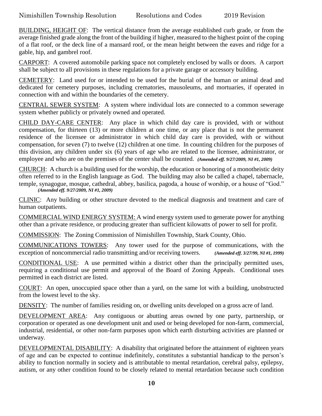BUILDING, HEIGHT OF: The vertical distance from the average established curb grade, or from the average finished grade along the front of the building if higher, measured to the highest point of the coping of a flat roof, or the deck line of a mansard roof, or the mean height between the eaves and ridge for a gable, hip, and gambrel roof.

CARPORT: A covered automobile parking space not completely enclosed by walls or doors. A carport shall be subject to all provisions in these regulations for a private garage or accessory building.

CEMETERY: Land used for or intended to be used for the burial of the human or animal dead and dedicated for cemetery purposes, including crematories, mausoleums, and mortuaries, if operated in connection with and within the boundaries of the cemetery.

CENTRAL SEWER SYSTEM: A system where individual lots are connected to a common sewerage system whether publicly or privately owned and operated.

CHILD DAY-CARE CENTER: Any place in which child day care is provided, with or without compensation, for thirteen (13) or more children at one time, or any place that is not the permanent residence of the licensee or administrator in which child day care is provided, with or without compensation, for seven (7) to twelve (12) children at one time. In counting children for the purposes of this division, any children under six (6) years of age who are related to the licensee, administrator, or employee and who are on the premises of the center shall be counted. *(Amended eff. 9/27/2009, NI #1, 2009)*

CHURCH: A church is a building used for the worship, the education or honoring of a monotheistic deity often referred to in the English language as God. The building may also be called a chapel, tabernacle, temple, synagogue, mosque, cathedral, abbey, basilica, pagoda, a house of worship, or a house of "God." *(Amended eff. 9/27/2009, NI #1, 2009)*

CLINIC: Any building or other structure devoted to the medical diagnosis and treatment and care of human outpatients.

COMMERCIAL WIND ENERGY SYSTEM: A wind energy system used to generate power for anything other than a private residence, or producing greater than sufficient kilowatts of power to sell for profit.

COMMISSION: The Zoning Commission of Nimishillen Township, Stark County, Ohio.

COMMUNICATIONS TOWERS: Any tower used for the purpose of communications, with the exception of noncommercial radio transmitting and/or receiving towers. *(Amended eff. 3/27/99, NI #1, 1999)*

CONDITIONAL USE: A use permitted within a district other than the principally permitted uses, requiring a conditional use permit and approval of the Board of Zoning Appeals. Conditional uses permitted in each district are listed.

COURT: An open, unoccupied space other than a yard, on the same lot with a building, unobstructed from the lowest level to the sky.

DENSITY: The number of families residing on, or dwelling units developed on a gross acre of land.

DEVELOPMENT AREA: Any contiguous or abutting areas owned by one party, partnership, or corporation or operated as one development unit and used or being developed for non-farm, commercial, industrial, residential, or other non-farm purposes upon which earth disturbing activities are planned or underway.

DEVELOPMENTAL DISABILITY: A disability that originated before the attainment of eighteen years of age and can be expected to continue indefinitely, constitutes a substantial handicap to the person's ability to function normally in society and is attributable to mental retardation, cerebral palsy, epilepsy, autism, or any other condition found to be closely related to mental retardation because such condition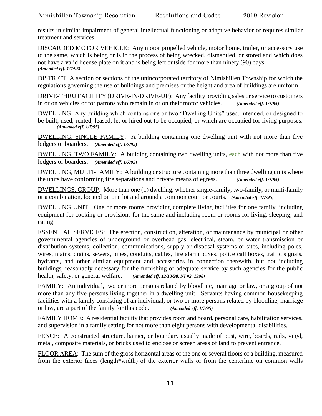results in similar impairment of general intellectual functioning or adaptive behavior or requires similar treatment and services.

DISCARDED MOTOR VEHICLE: Any motor propelled vehicle, motor home, trailer, or accessory use to the same, which is being or is in the process of being wrecked, dismantled, or stored and which does not have a valid license plate on it and is being left outside for more than ninety (90) days. *(Amended eff. 1/7/95)*

DISTRICT: A section or sections of the unincorporated territory of Nimishillen Township for which the regulations governing the use of buildings and premises or the height and area of buildings are uniform.

DRIVE-THRU FACILITY (DRIVE-IN/DRIVE-UP): Any facility providing sales or service to customers in or on vehicles or for patrons who remain in or on their motor vehicles. *(Amended eff. 1/7/95)*

DWELLING: Any building which contains one or two "Dwelling Units" used, intended, or designed to be built, used, rented, leased, let or hired out to be occupied, or which are occupied for living purposes. *(Amended eff. 1/7/95)*

DWELLING, SINGLE FAMILY: A building containing one dwelling unit with not more than five lodgers or boarders. *(Amended eff. 1/7/95)*

DWELLING, TWO FAMILY: A building containing two dwelling units, each with not more than five lodgers or boarders. *(Amended eff. 1/7/95)*

DWELLING, MULTI-FAMILY: A building or structure containing more than three dwelling units where the units have conforming fire separations and private means of egress. *(Amended eff. 1/7/95)*

DWELLINGS, GROUP: More than one (1) dwelling, whether single-family, two-family, or multi-family or a combination, located on one lot and around a common court or courts. *(Amended eff. 1/7/95)*

DWELLING UNIT: One or more rooms providing complete living facilities for one family, including equipment for cooking or provisions for the same and including room or rooms for living, sleeping, and eating.

ESSENTIAL SERVICES: The erection, construction, alteration, or maintenance by municipal or other governmental agencies of underground or overhead gas, electrical, steam, or water transmission or distribution systems, collection, communications, supply or disposal systems or sites, including poles, wires, mains, drains, sewers, pipes, conduits, cables, fire alarm boxes, police call boxes, traffic signals, hydrants, and other similar equipment and accessories in connection therewith, but not including buildings, reasonably necessary for the furnishing of adequate service by such agencies for the public health, safety, or general welfare. *(Amended eff. 12/13/98, NI #2, 1998)*

FAMILY: An individual, two or more persons related by bloodline, marriage or law, or a group of not more than any five persons living together in a dwelling unit. Servants having common housekeeping facilities with a family consisting of an individual, or two or more persons related by bloodline, marriage or law, are a part of the family for this code. *(Amended eff. 1/7/95)*

FAMILY HOME: A residential facility that provides room and board, personal care, habilitation services, and supervision in a family setting for not more than eight persons with developmental disabilities.

FENCE: A constructed structure, barrier, or boundary usually made of post, wire, boards, rails, vinyl, metal, composite materials, or bricks used to enclose or screen areas of land to prevent entrance.

FLOOR AREA: The sum of the gross horizontal areas of the one or several floors of a building, measured from the exterior faces (length\*width) of the exterior walls or from the centerline on common walls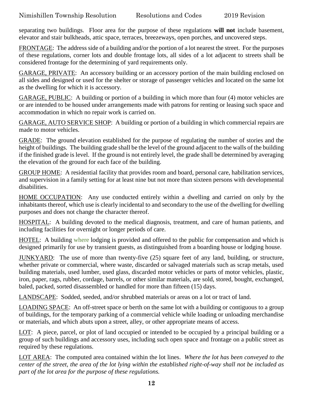separating two buildings. Floor area for the purpose of these regulations **will not** include basement, elevator and stair bulkheads, attic space, terraces, breezeways, open porches, and uncovered steps.

FRONTAGE: The address side of a building and/or the portion of a lot nearest the street. For the purposes of these regulations, corner lots and double frontage lots, all sides of a lot adjacent to streets shall be considered frontage for the determining of yard requirements only.

GARAGE, PRIVATE: An accessory building or an accessory portion of the main building enclosed on all sides and designed or used for the shelter or storage of passenger vehicles and located on the same lot as the dwelling for which it is accessory.

GARAGE, PUBLIC: A building or portion of a building in which more than four (4) motor vehicles are or are intended to be housed under arrangements made with patrons for renting or leasing such space and accommodation in which no repair work is carried on.

GARAGE, AUTO SERVICE SHOP: A building or portion of a building in which commercial repairs are made to motor vehicles.

GRADE: The ground elevation established for the purpose of regulating the number of stories and the height of buildings. The building grade shall be the level of the ground adjacent to the walls of the building if the finished grade is level. If the ground is not entirely level, the grade shall be determined by averaging the elevation of the ground for each face of the building.

GROUP HOME: A residential facility that provides room and board, personal care, habilitation services, and supervision in a family setting for at least nine but not more than sixteen persons with developmental disabilities.

HOME OCCUPATION: Any use conducted entirely within a dwelling and carried on only by the inhabitants thereof, which use is clearly incidental to and secondary to the use of the dwelling for dwelling purposes and does not change the character thereof.

HOSPITAL: A building devoted to the medical diagnosis, treatment, and care of human patients, and including facilities for overnight or longer periods of care.

HOTEL: A building where lodging is provided and offered to the public for compensation and which is designed primarily for use by transient guests, as distinguished from a boarding house or lodging house.

JUNKYARD: The use of more than twenty-five (25) square feet of any land, building, or structure, whether private or commercial, where waste, discarded or salvaged materials such as scrap metals, used building materials, used lumber, used glass, discarded motor vehicles or parts of motor vehicles, plastic, iron, paper, rags, rubber, cordage, barrels, or other similar materials, are sold, stored, bought, exchanged, baled, packed, sorted disassembled or handled for more than fifteen (15) days.

LANDSCAPE: Sodded, seeded, and/or shrubbed materials or areas on a lot or tract of land.

LOADING SPACE: An off-street space or berth on the same lot with a building or contiguous to a group of buildings, for the temporary parking of a commercial vehicle while loading or unloading merchandise or materials, and which abuts upon a street, alley, or other appropriate means of access.

LOT: A piece, parcel, or plot of land occupied or intended to be occupied by a principal building or a group of such buildings and accessory uses, including such open space and frontage on a public street as required by these regulations.

LOT AREA: The computed area contained within the lot lines. *Where the lot has been conveyed to the center of the street, the area of the lot lying within the established right-of-way shall not be included as part of the lot area for the purpose of these regulations.*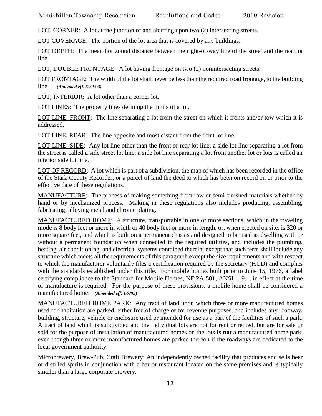LOT, CORNER: A lot at the junction of and abutting upon two (2) intersecting streets.

LOT COVERAGE: The portion of the lot area that is covered by any buildings.

LOT DEPTH: The mean horizontal distance between the right-of-way line of the street and the rear lot line.

LOT, DOUBLE FRONTAGE: A lot having frontage on two (2) nonintersecting streets.

LOT FRONTAGE: The width of the lot shall never be less than the required road frontage, to the building line. *(Amended eff. 5/22/93)*

LOT, INTERIOR: A lot other than a corner lot.

LOT LINES: The property lines defining the limits of a lot.

LOT LINE, FRONT: The line separating a lot from the street on which it fronts and/or tow which it is addressed.

LOT LINE, REAR: The line opposite and most distant from the front lot line.

LOT LINE, SIDE: Any lot line other than the front or rear lot line; a side lot line separating a lot from the street is called a side street lot line; a side lot line separating a lot from another lot or lots is called an interior side lot line.

LOT OF RECORD: A lot which is part of a subdivision, the map of which has been recorded in the office of the Stark County Recorder; or a parcel of land the deed to which has been on record on or prior to the effective date of these regulations.

MANUFACTURE: The process of making something from raw or semi-finished materials whether by hand or by mechanized process. Making in these regulations also includes producing, assembling, fabricating, alloying metal and chrome plating.

MANUFACTURED HOME: A structure, transportable in one or more sections, which in the traveling mode is 8 body feet or more in width or 40 body feet or more in length, or, when erected on site, is 320 or more square feet, and which is built on a permanent chassis and designed to be used as dwelling with or without a permanent foundation when connected to the required utilities, and includes the plumbing, heating, air conditioning, and electrical systems contained therein; except that such term shall include any structure which meets all the requirements of this paragraph except the size requirements and with respect to which the manufacturer voluntarily files a certification required by the secretary (HUD) and complies with the standards established under this title. For mobile homes built prior to June 15, 1976, a label certifying compliance to the Standard for Mobile Homes, NFiPA 501, ANSI 119.1, in effect at the time of manufacture is required. For the purpose of these provisions, a mobile home shall be considered a manufactured home. *(Amended eff. 1/7/95)*

MANUFACTURED HOME PARK: Any tract of land upon which three or more manufactured homes used for habitation are parked, either free of charge or for revenue purposes, and includes any roadway, building, structure, vehicle or enclosure used or intended for use as a part of the facilities of such a park. A tract of land which is subdivided and the individual lots are not for rent or rented, but are for sale or sold for the purpose of installation of manufactured homes on the lots **is not** a manufactured home park, even though three or more manufactured homes are parked thereon if the roadways are dedicated to the local government authority.

Microbrewery, Brew-Pub, Craft Brewery: An independently owned facility that produces and sells beer or distilled spirits in conjunction with a bar or restaurant located on the same premises and is typically smaller than a large corporate brewery.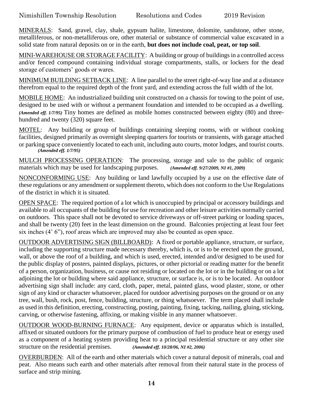MINERALS: Sand, gravel, clay, shale, gypsum halite, limestone, dolomite, sandstone, other stone, metalliferous, or non-metalliferous ore, other material or substance of commercial value excavated in a solid state from natural deposits on or in the earth, **but does not include coal, peat, or top soil**.

MINI-WAREHOUSE OR STORAGE FACILITY: A building or group of buildings in a controlled access and/or fenced compound containing individual storage compartments, stalls, or lockers for the dead storage of customers' goods or wares.

MINIMUM BUILDING SETBACK LINE: A line parallel to the street right-of-way line and at a distance therefrom equal to the required depth of the front yard, and extending across the full width of the lot.

MOBILE HOME: An industrialized building unit constructed on a chassis for towing to the point of use, designed to be used with or without a permanent foundation and intended to be occupied as a dwelling. *(Amended eff. 1/7/95)* Tiny homes are defined as mobile homes constructed between eighty (80) and threehundred and twenty (320) square feet.

MOTEL: Any building or group of buildings containing sleeping rooms, with or without cooking facilities, designed primarily as overnight sleeping quarters for tourists or transients, with garage attached or parking space conveniently located to each unit, including auto courts, motor lodges, and tourist courts. *(Amended eff. 1/7/95)*

MULCH PROCESSING OPERATION: The processing, storage and sale to the public of organic materials which may be used for landscaping purposes. *(Amended eff. 9/27/2009, NI #1, 2009)*

NONCONFORMING USE: Any building or land lawfully occupied by a use on the effective date of these regulations or any amendment or supplement thereto, which does not conform to the Use Regulations of the district in which it is situated.

OPEN SPACE: The required portion of a lot which is unoccupied by principal or accessory buildings and available to all occupants of the building for use for recreation and other leisure activities normally carried on outdoors. This space shall not be devoted to service driveways or off-street parking or loading spaces, and shall be twenty (20) feet in the least dimension on the ground. Balconies projecting at least four feet six inches (4' 6"), roof areas which are improved may also be counted as open space.

OUTDOOR ADVERTISING SIGN (BILLBOARD): A fixed or portable appliance, structure, or surface, including the supporting structure made necessary thereby, which is, or is to be erected upon the ground, wall, or above the roof of a building, and which is used, erected, intended and/or designed to be used for the public display of posters, painted displays, pictures, or other pictorial or reading matter for the benefit of a person, organization, business, or cause not residing or located on the lot or in the building or on a lot adjoining the lot or building where said appliance, structure, or surface is, or is to be located. An outdoor advertising sign shall include: any card, cloth, paper, metal, painted glass, wood plaster, stone, or other sign of any kind or character whatsoever, placed for outdoor advertising purposes on the ground or on any tree, wall, bush, rock, post, fence, building, structure, or thing whatsoever. The term placed shall include as used in this definition, erecting, constructing, posting, painting, fixing, tacking, nailing, gluing, sticking, carving, or otherwise fastening, affixing, or making visible in any manner whatsoever.

OUTDOOR WOOD-BURNING FURNACE: Any equipment, device or apparatus which is installed, affixed or situated outdoors for the primary purpose of combustion of fuel to produce heat or energy used as a component of a heating system providing heat to a principal residential structure or any other site structure on the residential premises. *(Amended eff. 10/28/06, NI #2, 2006)*

OVERBURDEN: All of the earth and other materials which cover a natural deposit of minerals, coal and peat. Also means such earth and other materials after removal from their natural state in the process of surface and strip mining.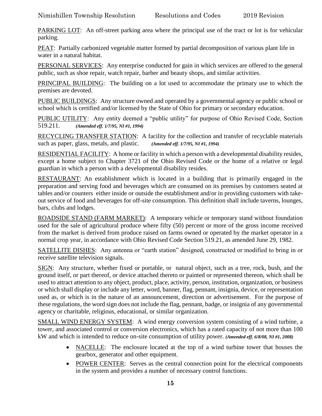PARKING LOT: An off-street parking area where the principal use of the tract or lot is for vehicular parking.

PEAT: Partially carbonized vegetable matter formed by partial decomposition of various plant life in water in a natural habitat.

PERSONAL SERVICES: Any enterprise conducted for gain in which services are offered to the general public, such as shoe repair, watch repair, barber and beauty shops, and similar activities.

PRINCIPAL BUILDING: The building on a lot used to accommodate the primary use to which the premises are devoted.

PUBLIC BUILDINGS: Any structure owned and operated by a governmental agency or public school or school which is certified and/or licensed by the State of Ohio for primary or secondary education.

PUBLIC UTILITY: Any entity deemed a "public utility" for purpose of Ohio Revised Code, Section 519.211. *(Amended eff. 1/7/95, NI #1, 1994)*

RECYCLING TRANSFER STATION: A facility for the collection and transfer of recyclable materials such as paper, glass, metals, and plastic. *(Amended eff. 1/7/95, NI #1, 1994)*

RESIDENTIAL FACILITY: A home or facility in which a person with a developmental disability resides, except a home subject to Chapter 3721 of the Ohio Revised Code or the home of a relative or legal guardian in which a person with a developmental disability resides.

RESTAURANT: An establishment which is located in a building that is primarily engaged in the preparation and serving food and beverages which are consumed on its premises by customers seated at tables and/or counters either inside or outside the establishment and/or in providing customers with takeout service of food and beverages for off-site consumption. This definition shall include taverns, lounges, bars, clubs and lodges.

ROADSIDE STAND (FARM MARKET): A temporary vehicle or temporary stand without foundation used for the sale of agricultural produce where fifty (50) percent or more of the gross income received from the market is derived from produce raised on farms owned or operated by the market operator in a normal crop year, in accordance with Ohio Revised Code Section 519.21, as amended June 29, 1982.

SATELLITE DISHES: Any antenna or "earth station" designed, constructed or modified to bring in or receive satellite television signals.

SIGN: Any structure, whether fixed or portable, or natural object, such as a tree, rock, bush, and the ground itself, or part thereof, or device attached thereto or painted or represented thereon, which shall be used to attract attention to any object, product, place, activity, person, institution, organization, or business or which shall display or include any letter, word, banner, flag, pennant, insignia, device, or representation used as, or which is in the nature of an announcement, direction or advertisement. For the purpose of these regulations, the word sign does not include the flag, pennant, badge, or insignia of any governmental agency or charitable, religious, educational, or similar organization.

SMALL WIND ENERGY SYSTEM: A wind energy conversion system consisting of a wind turbine, a tower, and associated control or conversion electronics, which has a rated capacity of not more than 100 kW and which is intended to reduce on-site consumption of utility power. *(Amended eff. 6/8/08, NI #1, 2008)*

- NACELLE: The enclosure located at the top of a wind turbine tower that houses the gearbox, generator and other equipment.
- POWER CENTER: Serves as the central connection point for the electrical components in the system and provides a number of necessary control functions.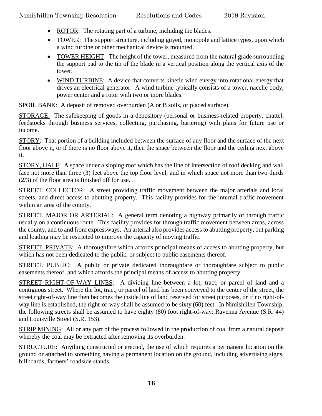- ROTOR: The rotating part of a turbine, including the blades.
- TOWER: The support structure, including guyed, monopole and lattice types, upon which a wind turbine or other mechanical device is mounted.
- TOWER HEIGHT: The height of the tower, measured from the natural grade surrounding the support pad to the tip of the blade in a vertical position along the vertical axis of the tower.
- WIND TURBINE: A device that converts kinetic wind energy into rotational energy that drives an electrical generator. A wind turbine typically consists of a tower, nacelle body, power center and a rotor with two or more blades.

SPOIL BANK: A deposit of removed overburden (A or B soils, or placed surface).

STORAGE: The safekeeping of goods in a depository (personal or business-related property, chattel, feedstocks through business services, collecting, purchasing, bartering) with plans for future use or income.

STORY: That portion of a building included between the surface of any floor and the surface of the next floor above it, or if there is no floor above it, then the space between the floor and the ceiling next above it.

STORY, HALF: A space under a sloping roof which has the line of intersection of roof decking and wall face not more than three (3) feet above the top floor level, and in which space not more than two thirds (2/3) of the floor area is finished off for use.

STREET, COLLECTOR: A street providing traffic movement between the major arterials and local streets, and direct access to abutting property. This facility provides for the internal traffic movement within an area of the county.

STREET, MAJOR OR ARTERIAL: A general term denoting a highway primarily of through traffic usually on a continuous route. This facility provides for through traffic movement between areas, across the county, and to and from expressways. An arterial also provides access to abutting property, but parking and loading may be restricted to improve the capacity of moving traffic.

STREET, PRIVATE: A thoroughfare which affords principal means of access to abutting property, but which has not been dedicated to the public, or subject to public easements thereof.

STREET, PUBLIC: A public or private dedicated thoroughfare or thoroughfare subject to public easements thereof, and which affords the principal means of access to abutting property.

STREET RIGHT-OF-WAY LINES: A dividing line between a lot, tract, or parcel of land and a contiguous street. Where the lot, tract, or parcel of land has been conveyed to the center of the street, the street right-of-way line then becomes the inside line of land reserved for street purposes, or if no right-ofway line is established, the right-of-way shall be assumed to be sixty (60) feet. In Nimishillen Township, the following streets shall be assumed to have eighty (80) foot right-of-way: Ravenna Avenue (S.R. 44) and Louisville Street (S.R. 153).

STRIP MINING: All or any part of the process followed in the production of coal from a natural deposit whereby the coal may be extracted after removing its overburden.

STRUCTURE: Anything constructed or erected, the use of which requires a permanent location on the ground or attached to something having a permanent location on the ground, including advertising signs, billboards, farmers' roadside stands.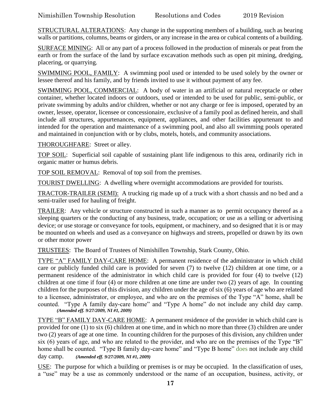STRUCTURAL ALTERATIONS: Any change in the supporting members of a building, such as bearing walls or partitions, columns, beams or girders, or any increase in the area or cubical contents of a building.

SURFACE MINING: All or any part of a process followed in the production of minerals or peat from the earth or from the surface of the land by surface excavation methods such as open pit mining, dredging, placering, or quarrying.

SWIMMING POOL, FAMILY: A swimming pool used or intended to be used solely by the owner or lessee thereof and his family, and by friends invited to use it without payment of any fee.

SWIMMING POOL, COMMERCIAL: A body of water in an artificial or natural receptacle or other container, whether located indoors or outdoors, used or intended to be used for public, semi-public, or private swimming by adults and/or children, whether or not any charge or fee is imposed, operated by an owner, lessee, operator, licensee or concessionaire, exclusive of a family pool as defined herein, and shall include all structures, appurtenances, equipment, appliances, and other facilities appurtenant to and intended for the operation and maintenance of a swimming pool, and also all swimming pools operated and maintained in conjunction with or by clubs, motels, hotels, and community associations.

THOROUGHFARE: Street or alley.

TOP SOIL: Superficial soil capable of sustaining plant life indigenous to this area, ordinarily rich in organic matter or humus debris.

TOP SOIL REMOVAL: Removal of top soil from the premises.

TOURIST DWELLING: A dwelling where overnight accommodations are provided for tourists.

TRACTOR-TRAILER (SEMI): A trucking rig made up of a truck with a short chassis and no bed and a semi-trailer used for hauling of freight.

TRAILER: Any vehicle or structure constructed in such a manner as to permit occupancy thereof as a sleeping quarters or the conducting of any business, trade, occupation; or use as a selling or advertising device; or use storage or conveyance for tools, equipment, or machinery, and so designed that it is or may be mounted on wheels and used as a conveyance on highways and streets, propelled or drawn by its own or other motor power

TRUSTEES: The Board of Trustees of Nimishillen Township, Stark County, Ohio.

TYPE "A" FAMILY DAY-CARE HOME: A permanent residence of the administrator in which child care or publicly funded child care is provided for seven (7) to twelve (12) children at one time, or a permanent residence of the administrator in which child care is provided for four (4) to twelve (12) children at one time if four (4) or more children at one time are under two (2) years of age. In counting children for the purposes of this division, any children under the age of six (6) years of age who are related to a licensee, administrator, or employee, and who are on the premises of the Type "A" home, shall be counted. "Type A family day-care home" and "Type A home" do not include any child day camp. *(Amended eff. 9/27/2009, NI #1, 2009)*

TYPE "B" FAMILY DAY-CARE HOME: A permanent residence of the provider in which child care is provided for one (1) to six (6) children at one time, and in which no more than three (3) children are under two (2) years of age at one time. In counting children for the purposes of this division, any children under six (6) years of age, and who are related to the provider, and who are on the premises of the Type "B" home shall be counted. "Type B family day-care home" and "Type B home" does not include any child day camp. *(Amended eff. 9/27/2009, NI #1, 2009)*

USE: The purpose for which a building or premises is or may be occupied. In the classification of uses, a "use" may be a use as commonly understood or the name of an occupation, business, activity, or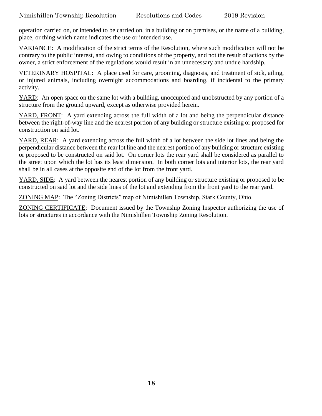operation carried on, or intended to be carried on, in a building or on premises, or the name of a building, place, or thing which name indicates the use or intended use.

VARIANCE: A modification of the strict terms of the Resolution, where such modification will not be contrary to the public interest, and owing to conditions of the property, and not the result of actions by the owner, a strict enforcement of the regulations would result in an unnecessary and undue hardship.

VETERINARY HOSPITAL: A place used for care, grooming, diagnosis, and treatment of sick, ailing, or injured animals, including overnight accommodations and boarding, if incidental to the primary activity.

YARD: An open space on the same lot with a building, unoccupied and unobstructed by any portion of a structure from the ground upward, except as otherwise provided herein.

YARD, FRONT: A yard extending across the full width of a lot and being the perpendicular distance between the right-of-way line and the nearest portion of any building or structure existing or proposed for construction on said lot.

YARD, REAR: A yard extending across the full width of a lot between the side lot lines and being the perpendicular distance between the rear lot line and the nearest portion of any building or structure existing or proposed to be constructed on said lot. On corner lots the rear yard shall be considered as parallel to the street upon which the lot has its least dimension. In both corner lots and interior lots, the rear yard shall be in all cases at the opposite end of the lot from the front yard.

YARD, SIDE: A yard between the nearest portion of any building or structure existing or proposed to be constructed on said lot and the side lines of the lot and extending from the front yard to the rear yard.

ZONING MAP: The "Zoning Districts" map of Nimishillen Township, Stark County, Ohio.

ZONING CERTIFICATE: Document issued by the Township Zoning Inspector authorizing the use of lots or structures in accordance with the Nimishillen Township Zoning Resolution.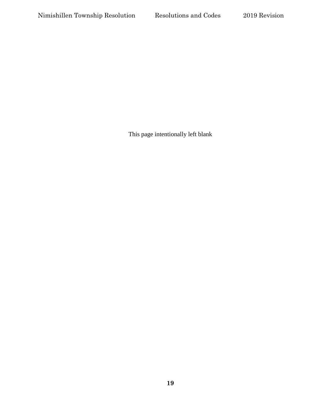This page intentionally left blank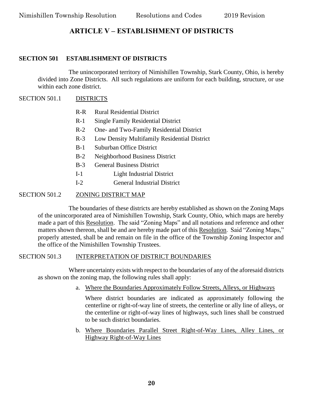# **ARTICLE V – ESTABLISHMENT OF DISTRICTS**

## <span id="page-23-0"></span>**SECTION 501 ESTABLISHMENT OF DISTRICTS**

The unincorporated territory of Nimishillen Township, Stark County, Ohio, is hereby divided into Zone Districts. All such regulations are uniform for each building, structure, or use within each zone district.

## SECTION 501.1 DISTRICTS

- R-R Rural Residential District
- R-1 Single Family Residential District
- R-2 One- and Two-Family Residential District
- R-3 Low Density Multifamily Residential District
- B-1 Suburban Office District
- B-2 Neighborhood Business District
- B-3 General Business District
- I-1 Light Industrial District
- I-2 General Industrial District

## SECTION 501.2 ZONING DISTRICT MAP

The boundaries of these districts are hereby established as shown on the Zoning Maps of the unincorporated area of Nimishillen Township, Stark County, Ohio, which maps are hereby made a part of this Resolution. The said "Zoning Maps" and all notations and reference and other matters shown thereon, shall be and are hereby made part of this Resolution. Said "Zoning Maps," properly attested, shall be and remain on file in the office of the Township Zoning Inspector and the office of the Nimishillen Township Trustees.

#### SECTION 501.3 INTERPRETATION OF DISTRICT BOUNDARIES

Where uncertainty exists with respect to the boundaries of any of the aforesaid districts as shown on the zoning map, the following rules shall apply:

a. Where the Boundaries Approximately Follow Streets, Alleys, or Highways

Where district boundaries are indicated as approximately following the centerline or right-of-way line of streets, the centerline or ally line of alleys, or the centerline or right-of-way lines of highways, such lines shall be construed to be such district boundaries.

b. Where Boundaries Parallel Street Right-of-Way Lines, Alley Lines, or Highway Right-of-Way Lines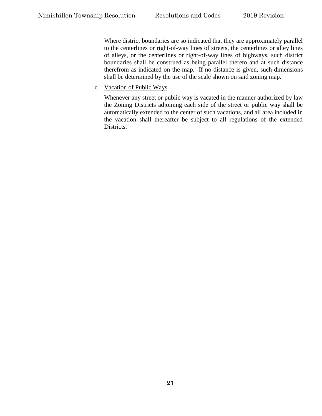Where district boundaries are so indicated that they are approximately parallel to the centerlines or right-of-way lines of streets, the centerlines or alley lines of alleys, or the centerlines or right-of-way lines of highways, such district boundaries shall be construed as being parallel thereto and at such distance therefrom as indicated on the map. If no distance is given, such dimensions shall be determined by the use of the scale shown on said zoning map.

c. Vacation of Public Ways

Whenever any street or public way is vacated in the manner authorized by law the Zoning Districts adjoining each side of the street or public way shall be automatically extended to the center of such vacations, and all area included in the vacation shall thereafter be subject to all regulations of the extended Districts.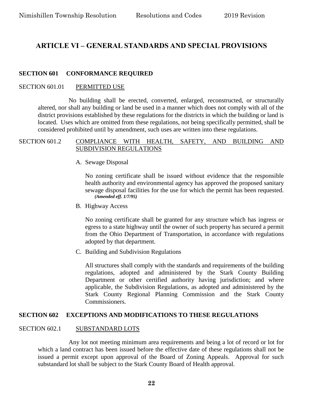# <span id="page-25-0"></span>**ARTICLE VI – GENERAL STANDARDS AND SPECIAL PROVISIONS**

## **SECTION 601 CONFORMANCE REQUIRED**

# SECTION 601.01 PERMITTED USE

No building shall be erected, converted, enlarged, reconstructed, or structurally altered, nor shall any building or land be used in a manner which does not comply with all of the district provisions established by these regulations for the districts in which the building or land is located. Uses which are omitted from these regulations, not being specifically permitted, shall be considered prohibited until by amendment, such uses are written into these regulations.

#### SECTION 601.2 COMPLIANCE WITH HEALTH, SAFETY, AND BUILDING AND SUBDIVISION REGULATIONS

A. Sewage Disposal

No zoning certificate shall be issued without evidence that the responsible health authority and environmental agency has approved the proposed sanitary sewage disposal facilities for the use for which the permit has been requested. *(Amended eff. 1/7/95)*

B. Highway Access

No zoning certificate shall be granted for any structure which has ingress or egress to a state highway until the owner of such property has secured a permit from the Ohio Department of Transportation, in accordance with regulations adopted by that department.

C. Building and Subdivision Regulations

All structures shall comply with the standards and requirements of the building regulations, adopted and administered by the Stark County Building Department or other certified authority having jurisdiction; and where applicable, the Subdivision Regulations, as adopted and administered by the Stark County Regional Planning Commission and the Stark County Commissioners.

#### **SECTION 602 EXCEPTIONS AND MODIFICATIONS TO THESE REGULATIONS**

## SECTION 602.1 SUBSTANDARD LOTS

Any lot not meeting minimum area requirements and being a lot of record or lot for which a land contract has been issued before the effective date of these regulations shall not be issued a permit except upon approval of the Board of Zoning Appeals. Approval for such substandard lot shall be subject to the Stark County Board of Health approval.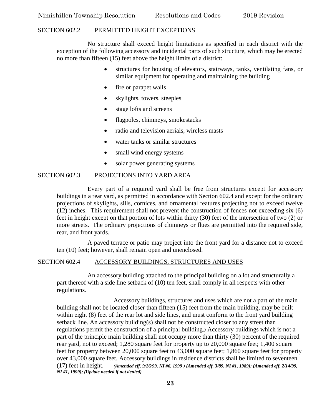#### SECTION 602.2 PERMITTED HEIGHT EXCEPTIONS

No structure shall exceed height limitations as specified in each district with the exception of the following accessory and incidental parts of such structure, which may be erected no more than fifteen (15) feet above the height limits of a district:

- structures for housing of elevators, stairways, tanks, ventilating fans, or similar equipment for operating and maintaining the building
- fire or parapet walls
- skylights, towers, steeples
- stage lofts and screens
- flagpoles, chimneys, smokestacks
- radio and television aerials, wireless masts
- water tanks or similar structures
- small wind energy systems
- solar power generating systems

#### SECTION 602.3 PROJECTIONS INTO YARD AREA

Every part of a required yard shall be free from structures except for accessory buildings in a rear yard, as permitted in accordance with Section 602.4 and except for the ordinary projections of skylights, sills, cornices, and ornamental features projecting not to exceed twelve (12) inches. This requirement shall not prevent the construction of fences not exceeding six (6) feet in height except on that portion of lots within thirty (30) feet of the intersection of two (2) or more streets. The ordinary projections of chimneys or flues are permitted into the required side, rear, and front yards.

A paved terrace or patio may project into the front yard for a distance not to exceed ten (10) feet; however, shall remain open and unenclosed.

#### SECTION 602.4 ACCESSORY BUILDINGS, STRUCTURES AND USES

An accessory building attached to the principal building on a lot and structurally a part thereof with a side line setback of (10) ten feet, shall comply in all respects with other regulations.

Accessory buildings, structures and uses which are not a part of the main building shall not be located closer than fifteen (15) feet from the main building, may be built within eight (8) feet of the rear lot and side lines, and must conform to the front yard building setback line. An accessory building(s) shall not be constructed closer to any street than regulations permit the construction of a principal building.*)* Accessory buildings which is not a part of the principle main building shall not occupy more than thirty (30) percent of the required rear yard, not to exceed; 1,280 square feet for property up to 20,000 square feet; 1,400 square feet for property between 20,000 square feet to 43,000 square feet; 1,860 square feet for property over 43,000 square feet. Accessory buildings in residence districts shall be limited to seventeen (17) feet in height. *(Amended eff. 9/26/99, NI #6, 1999 ) (Amended eff. 3/89, NI #1, 1989); (Amended eff. 2/14/99, NI #1, 1999); (Update needed if not denied)*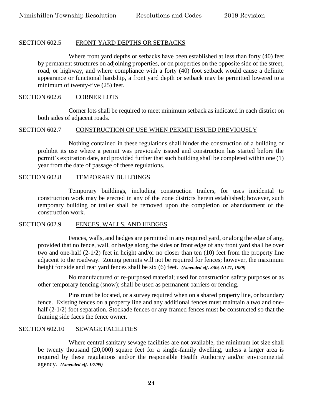#### SECTION 602.5 FRONT YARD DEPTHS OR SETBACKS

Where front yard depths or setbacks have been established at less than forty (40) feet by permanent structures on adjoining properties, or on properties on the opposite side of the street, road, or highway, and where compliance with a forty (40) foot setback would cause a definite appearance or functional hardship, a front yard depth or setback may be permitted lowered to a minimum of twenty-five (25) feet.

#### SECTION 602.6 CORNER LOTS

Corner lots shall be required to meet minimum setback as indicated in each district on both sides of adjacent roads.

#### SECTION 602.7 CONSTRUCTION OF USE WHEN PERMIT ISSUED PREVIOUSLY

Nothing contained in these regulations shall hinder the construction of a building or prohibit its use where a permit was previously issued and construction has started before the permit's expiration date, and provided further that such building shall be completed within one (1) year from the date of passage of these regulations.

#### SECTION 602.8 TEMPORARY BUILDINGS

Temporary buildings, including construction trailers, for uses incidental to construction work may be erected in any of the zone districts herein established; however, such temporary building or trailer shall be removed upon the completion or abandonment of the construction work.

#### SECTION 602.9 FENCES, WALLS, AND HEDGES

Fences, walls, and hedges are permitted in any required yard, or along the edge of any, provided that no fence, wall, or hedge along the sides or front edge of any front yard shall be over two and one-half (2-1/2) feet in height and/or no closer than ten (10) feet from the property line adjacent to the roadway. Zoning permits will not be required for fences; however, the maximum height for side and rear yard fences shall be six (6) feet. *(Amended eff. 3/89, NI #1, 1989)*

No manufactured or re-purposed material; used for construction safety purposes or as other temporary fencing (snow); shall be used as permanent barriers or fencing.

Pins must be located, or a survey required when on a shared property line, or boundary fence. Existing fences on a property line and any additional fences must maintain a two and onehalf (2-1/2) foot separation. Stockade fences or any framed fences must be constructed so that the framing side faces the fence owner.

#### SECTION 602.10 SEWAGE FACILITIES

Where central sanitary sewage facilities are not available, the minimum lot size shall be twenty thousand (20,000) square feet for a single-family dwelling, unless a larger area is required by these regulations and/or the responsible Health Authority and/or environmental agency. *(Amended eff. 1/7/95)*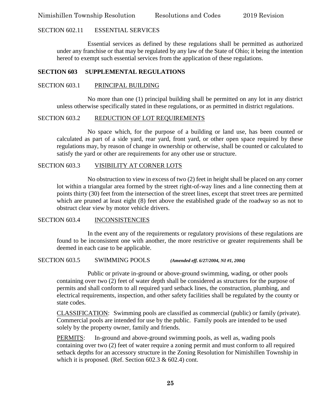#### SECTION 602.11 ESSENTIAL SERVICES

Essential services as defined by these regulations shall be permitted as authorized under any franchise or that may be regulated by any law of the State of Ohio; it being the intention hereof to exempt such essential services from the application of these regulations.

#### **SECTION 603 SUPPLEMENTAL REGULATIONS**

#### SECTION 603.1 PRINCIPAL BUILDING

No more than one (1) principal building shall be permitted on any lot in any district unless otherwise specifically stated in these regulations, or as permitted in district regulations.

#### SECTION 603.2 REDUCTION OF LOT REQUIREMENTS

No space which, for the purpose of a building or land use, has been counted or calculated as part of a side yard, rear yard, front yard, or other open space required by these regulations may, by reason of change in ownership or otherwise, shall be counted or calculated to satisfy the yard or other are requirements for any other use or structure.

#### SECTION 603.3 VISIBILITY AT CORNER LOTS

No obstruction to view in excess of two (2) feet in height shall be placed on any corner lot within a triangular area formed by the street right-of-way lines and a line connecting them at points thirty (30) feet from the intersection of the street lines, except that street trees are permitted which are pruned at least eight (8) feet above the established grade of the roadway so as not to obstruct clear view by motor vehicle drivers.

#### SECTION 603.4 INCONSISTENCIES

In the event any of the requirements or regulatory provisions of these regulations are found to be inconsistent one with another, the more restrictive or greater requirements shall be deemed in each case to be applicable.

SECTION 603.5 SWIMMING POOLS *(Amended eff. 6/27/2004, NI #1, 2004)*

Public or private in-ground or above-ground swimming, wading, or other pools containing over two (2) feet of water depth shall be considered as structures for the purpose of permits and shall conform to all required yard setback lines, the construction, plumbing, and electrical requirements, inspection, and other safety facilities shall be regulated by the county or state codes.

CLASSIFICATION: Swimming pools are classified as commercial (public) or family (private). Commercial pools are intended for use by the public. Family pools are intended to be used solely by the property owner, family and friends.

**PERMITS:** In-ground and above-ground swimming pools, as well as, wading pools containing over two (2) feet of water require a zoning permit and must conform to all required setback depths for an accessory structure in the Zoning Resolution for Nimishillen Township in which it is proposed. (Ref. Section  $602.3 \& 602.4$ ) cont.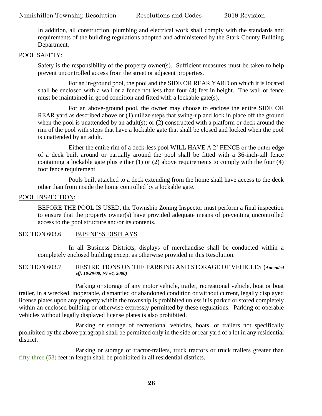In addition, all construction, plumbing and electrical work shall comply with the standards and requirements of the building regulations adopted and administered by the Stark County Building Department.

#### POOL SAFETY:

Safety is the responsibility of the property owner(s). Sufficient measures must be taken to help prevent uncontrolled access from the street or adjacent properties.

For an in-ground pool, the pool and the SIDE OR REAR YARD on which it is located shall be enclosed with a wall or a fence not less than four (4) feet in height. The wall or fence must be maintained in good condition and fitted with a lockable gate(s).

For an above-ground pool, the owner may choose to enclose the entire SIDE OR REAR yard as described above or (1) utilize steps that swing-up and lock in place off the ground when the pool is unattended by an adult(s); or (2) constructed with a platform or deck around the rim of the pool with steps that have a lockable gate that shall be closed and locked when the pool is unattended by an adult.

Either the entire rim of a deck-less pool WILL HAVE A 2' FENCE or the outer edge of a deck built around or partially around the pool shall be fitted with a 36-inch-tall fence containing a lockable gate plus either (1) or (2) above requirements to comply with the four (4) foot fence requirement.

Pools built attached to a deck extending from the home shall have access to the deck other than from inside the home controlled by a lockable gate.

#### POOL INSPECTION:

BEFORE THE POOL IS USED, the Township Zoning Inspector must perform a final inspection to ensure that the property owner(s) have provided adequate means of preventing uncontrolled access to the pool structure and/or its contents.

#### SECTION 603.6 BUSINESS DISPLAYS

In all Business Districts, displays of merchandise shall be conducted within a completely enclosed building except as otherwise provided in this Resolution.

#### SECTION 603.7 RESTRICTIONS ON THE PARKING AND STORAGE OF VEHICLES (*Amended eff. 10/29/00, NI #4, 2000)*

Parking or storage of any motor vehicle, trailer, recreational vehicle, boat or boat trailer, in a wrecked, inoperable, dismantled or abandoned condition or without current, legally displayed license plates upon any property within the township is prohibited unless it is parked or stored completely within an enclosed building or otherwise expressly permitted by these regulations. Parking of operable vehicles without legally displayed license plates is also prohibited.

Parking or storage of recreational vehicles, boats, or trailers not specifically prohibited by the above paragraph shall be permitted only in the side or rear yard of a lot in any residential district.

Parking or storage of tractor-trailers, truck tractors or truck trailers greater than fifty-three (53) feet in length shall be prohibited in all residential districts.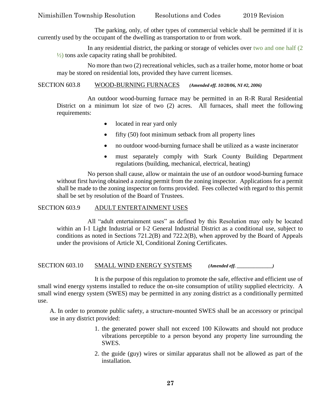The parking, only, of other types of commercial vehicle shall be permitted if it is currently used by the occupant of the dwelling as transportation to or from work.

In any residential district, the parking or storage of vehicles over two and one half (2  $\frac{1}{2}$  tons axle capacity rating shall be prohibited.

No more than two (2) recreational vehicles, such as a trailer home, motor home or boat may be stored on residential lots, provided they have current licenses.

SECTION 603.8 WOOD-BURNING FURNACES *(Amended eff. 10/28/06, NI #2, 2006)*

An outdoor wood-burning furnace may be permitted in an R-R Rural Residential District on a minimum lot size of two (2) acres. All furnaces, shall meet the following requirements:

- located in rear yard only
- fifty (50) foot minimum setback from all property lines
- no outdoor wood-burning furnace shall be utilized as a waste incinerator
- must separately comply with Stark County Building Department regulations (building, mechanical, electrical, heating)

No person shall cause, allow or maintain the use of an outdoor wood-burning furnace without first having obtained a zoning permit from the zoning inspector. Applications for a permit shall be made to the zoning inspector on forms provided. Fees collected with regard to this permit shall be set by resolution of the Board of Trustees.

#### SECTION 603.9 ADULT ENTERTAINMENT USES

All "adult entertainment uses" as defined by this Resolution may only be located within an I-1 Light Industrial or I-2 General Industrial District as a conditional use, subject to conditions as noted in Sections 721.2(B) and 722.2(B), when approved by the Board of Appeals under the provisions of Article XI, Conditional Zoning Certificates.

SECTION 603.10 SMALL WIND ENERGY SYSTEMS *(Amended eff. \_\_\_\_\_\_\_\_\_\_\_\_\_\_\_)*

It is the purpose of this regulation to promote the safe, effective and efficient use of small wind energy systems installed to reduce the on-site consumption of utility supplied electricity. A small wind energy system (SWES) may be permitted in any zoning district as a conditionally permitted use.

A. In order to promote public safety, a structure-mounted SWES shall be an accessory or principal use in any district provided:

- 1. the generated power shall not exceed 100 Kilowatts and should not produce vibrations perceptible to a person beyond any property line surrounding the SWES.
- 2. the guide (guy) wires or similar apparatus shall not be allowed as part of the installation.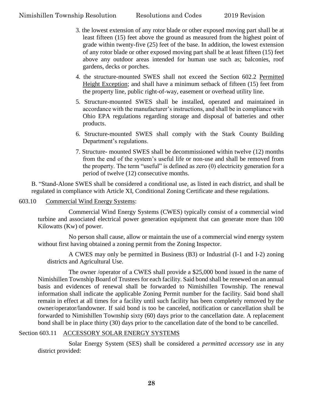- 3. the lowest extension of any rotor blade or other exposed moving part shall be at least fifteen (15) feet above the ground as measured from the highest point of grade within twenty-five (25) feet of the base. In addition, the lowest extension of any rotor blade or other exposed moving part shall be at least fifteen (15) feet above any outdoor areas intended for human use such as; balconies, roof gardens, decks or porches.
- 4. the structure-mounted SWES shall not exceed the Section 602.2 Permitted Height Exception; and shall have a minimum setback of fifteen (15) feet from the property line, public right-of-way, easement or overhead utility line.
- 5. Structure-mounted SWES shall be installed, operated and maintained in accordance with the manufacturer's instructions, and shall be in compliance with Ohio EPA regulations regarding storage and disposal of batteries and other products.
- 6. Structure-mounted SWES shall comply with the Stark County Building Department's regulations.
- 7. Structure- mounted SWES shall be decommissioned within twelve (12) months from the end of the system's useful life or non-use and shall be removed from the property. The term "useful" is defined as zero (0) electricity generation for a period of twelve (12) consecutive months.

B. "Stand-Alone SWES shall be considered a conditional use, as listed in each district, and shall be regulated in compliance with Article XI, Conditional Zoning Certificate and these regulations.

#### 603.10 Commercial Wind Energy Systems:

Commercial Wind Energy Systems (CWES) typically consist of a commercial wind turbine and associated electrical power generation equipment that can generate more than 100 Kilowatts (Kw) of power.

No person shall cause, allow or maintain the use of a commercial wind energy system without first having obtained a zoning permit from the Zoning Inspector.

A CWES may only be permitted in Business (B3) or Industrial (I-1 and I-2) zoning districts and Agricultural Use.

The owner /operator of a CWES shall provide a \$25,000 bond issued in the name of Nimishillen Township Board of Trustees for each facility. Said bond shall be renewed on an annual basis and evidences of renewal shall be forwarded to Nimishillen Township. The renewal information shall indicate the applicable Zoning Permit number for the facility. Said bond shall remain in effect at all times for a facility until such facility has been completely removed by the owner/operator/landowner. If said bond is too be canceled, notification or cancellation shall be forwarded to Nimishillen Township sixty (60) days prior to the cancellation date. A replacement bond shall be in place thirty (30) days prior to the cancellation date of the bond to be cancelled.

#### Section 603.11 ACCESSORY SOLAR ENERGY SYSTEMS

Solar Energy System (SES) shall be considered a *permitted accessory use* in any district provided: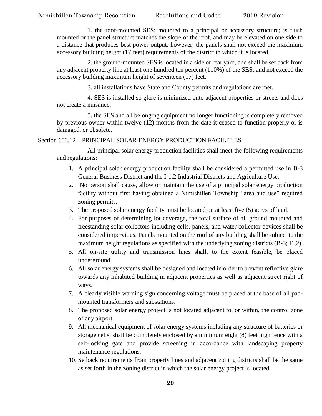1. the roof-mounted SES; mounted to a principal or accessory structure; is flush mounted or the panel structure matches the slope of the roof, and may be elevated on one side to a distance that produces best power output: however, the panels shall not exceed the maximum accessory building height (17 feet) requirements of the district in which it is located.

2. the ground-mounted SES is located in a side or rear yard, and shall be set back from any adjacent property line at least one hundred ten percent (110%) of the SES; and not exceed the accessory building maximum height of seventeen (17) feet.

3. all installations have State and County permits and regulations are met.

4. SES is installed so glare is minimized onto adjacent properties or streets and does not create a nuisance.

5. the SES and all belonging equipment no longer functioning is completely removed by previous owner within twelve (12) months from the date it ceased to function properly or is damaged, or obsolete.

#### Section 603.12 PRINCIPAL SOLAR ENERGY PRODUCTION FACILITIES

All principal solar energy production facilities shall meet the following requirements and regulations:

- 1. A principal solar energy production facility shall be considered a permitted use in B-3 General Business District and the I-1,2 Industrial Districts and Agriculture Use.
- 2. No person shall cause, allow or maintain the use of a principal solar energy production facility without first having obtained a Nimishillen Township "area and use" required zoning permits.
- 3. The proposed solar energy facility must be located on at least five (5) acres of land.
- 4. For purposes of determining lot coverage, the total surface of all ground mounted and freestanding solar collectors including cells, panels, and water collector devices shall be considered impervious. Panels mounted on the roof of any building shall be subject to the maximum height regulations as specified with the underlying zoning districts (B-3; I1,2).
- 5. All on-site utility and transmission lines shall, to the extent feasible, be placed underground.
- 6. All solar energy systems shall be designed and located in order to prevent reflective glare towards any inhabited building in adjacent properties as well as adjacent street right of ways.
- 7. A clearly visible warning sign concerning voltage must be placed at the base of all padmounted transformers and substations.
- 8. The proposed solar energy project is not located adjacent to, or within, the control zone of any airport.
- 9. All mechanical equipment of solar energy systems including any structure of batteries or storage cells, shall be completely enclosed by a minimum eight (8) feet high fence with a self-locking gate and provide screening in accordance with landscaping property maintenance regulations.
- 10. Setback requirements from property lines and adjacent zoning districts shall be the same as set forth in the zoning district in which the solar energy project is located.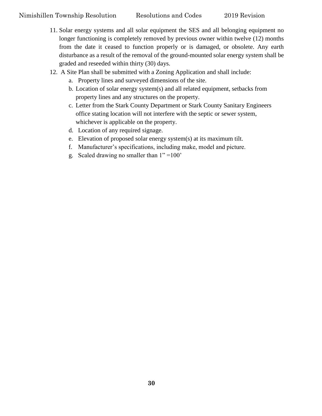- 11. Solar energy systems and all solar equipment the SES and all belonging equipment no longer functioning is completely removed by previous owner within twelve (12) months from the date it ceased to function properly or is damaged, or obsolete. Any earth disturbance as a result of the removal of the ground-mounted solar energy system shall be graded and reseeded within thirty (30) days.
- 12. A Site Plan shall be submitted with a Zoning Application and shall include:
	- a. Property lines and surveyed dimensions of the site.
	- b. Location of solar energy system(s) and all related equipment, setbacks from property lines and any structures on the property.
	- c. Letter from the Stark County Department or Stark County Sanitary Engineers office stating location will not interfere with the septic or sewer system, whichever is applicable on the property.
	- d. Location of any required signage.
	- e. Elevation of proposed solar energy system(s) at its maximum tilt.
	- f. Manufacturer's specifications, including make, model and picture.
	- g. Scaled drawing no smaller than  $1" =100'$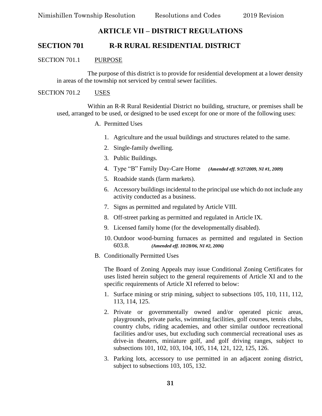# **ARTICLE VII – DISTRICT REGULATIONS**

# <span id="page-34-1"></span><span id="page-34-0"></span>**SECTION 701 R-R RURAL RESIDENTIAL DISTRICT**

#### SECTION 701.1 PURPOSE

The purpose of this district is to provide for residential development at a lower density in areas of the township not serviced by central sewer facilities.

#### SECTION 701.2 USES

Within an R-R Rural Residential District no building, structure, or premises shall be used, arranged to be used, or designed to be used except for one or more of the following uses:

- A. Permitted Uses
	- 1. Agriculture and the usual buildings and structures related to the same.
	- 2. Single-family dwelling.
	- 3. Public Buildings.
	- 4. Type "B" Family Day-Care Home *(Amended eff. 9/27/2009, NI #1, 2009)*
	- 5. Roadside stands (farm markets).
	- 6. Accessory buildings incidental to the principal use which do not include any activity conducted as a business.
	- 7. Signs as permitted and regulated by Article VIII.
	- 8. Off-street parking as permitted and regulated in Article IX.
	- 9. Licensed family home (for the developmentally disabled).
	- 10. Outdoor wood-burning furnaces as permitted and regulated in Section 603.8. *(Amended eff. 10/28/06, NI #2, 2006)*
- B. Conditionally Permitted Uses

The Board of Zoning Appeals may issue Conditional Zoning Certificates for uses listed herein subject to the general requirements of Article XI and to the specific requirements of Article XI referred to below:

- 1. Surface mining or strip mining, subject to subsections 105, 110, 111, 112, 113, 114, 125.
- 2. Private or governmentally owned and/or operated picnic areas, playgrounds, private parks, swimming facilities, golf courses, tennis clubs, country clubs, riding academies, and other similar outdoor recreational facilities and/or uses, but excluding such commercial recreational uses as drive-in theaters, miniature golf, and golf driving ranges, subject to subsections 101, 102, 103, 104, 105, 114, 121, 122, 125, 126.
- 3. Parking lots, accessory to use permitted in an adjacent zoning district, subject to subsections 103, 105, 132.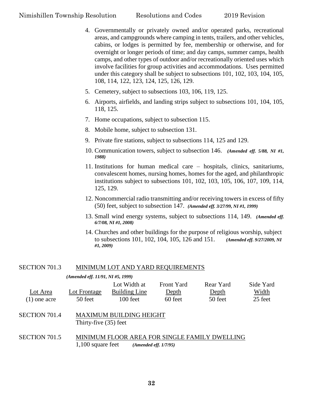- 4. Governmentally or privately owned and/or operated parks, recreational areas, and campgrounds where camping in tents, trailers, and other vehicles, cabins, or lodges is permitted by fee, membership or otherwise, and for overnight or longer periods of time; and day camps, summer camps, health camps, and other types of outdoor and/or recreationally oriented uses which involve facilities for group activities and accommodations. Uses permitted under this category shall be subject to subsections 101, 102, 103, 104, 105, 108, 114, 122, 123, 124, 125, 126, 129.
- 5. Cemetery, subject to subsections 103, 106, 119, 125.
- 6. Airports, airfields, and landing strips subject to subsections 101, 104, 105, 118, 125.
- 7. Home occupations, subject to subsection 115.
- 8. Mobile home, subject to subsection 131.
- 9. Private fire stations, subject to subsections 114, 125 and 129.
- 10. Communication towers, subject to subsection 146. *(Amended eff. 5/88, NI #1, 1988)*
- 11. Institutions for human medical care hospitals, clinics, sanitariums, convalescent homes, nursing homes, homes for the aged, and philanthropic institutions subject to subsections 101, 102, 103, 105, 106, 107, 109, 114, 125, 129.
- 12. Noncommercial radio transmitting and/or receiving towers in excess of fifty (50) feet, subject to subsection 147. *(Amended eff. 3/27/99, NI #1, 1999)*
- 13. Small wind energy systems, subject to subsections 114, 149. *(Amended eff. 6/7/08, NI #1, 2008)*
- 14. Churches and other buildings for the purpose of religious worship, subject to subsections 101, 102, 104, 105, 126 and 151. *(Amended eff. 9/27/2009, NI #1, 2009)*

#### SECTION 701.3 MINIMUM LOT AND YARD REQUIREMENTS

|                      | (Amended eff. 11/91, NI #5, 1999) |                                                         |                            |                    |                    |  |  |
|----------------------|-----------------------------------|---------------------------------------------------------|----------------------------|--------------------|--------------------|--|--|
| Lot Area             | Lot Frontage                      | Lot Width at<br><b>Building Line</b>                    | <b>Front Yard</b><br>Depth | Rear Yard<br>Depth | Side Yard<br>Width |  |  |
| $(1)$ one acre       | 50 feet                           | $100$ feet                                              | 60 feet                    | 50 feet            | 25 feet            |  |  |
| <b>SECTION 701.4</b> |                                   | <b>MAXIMUM BUILDING HEIGHT</b><br>Thirty-five (35) feet |                            |                    |                    |  |  |
| <b>SECTION 701.5</b> | $1,100$ square feet               | MINIMUM FLOOR AREA FOR SINGLE FAMILY DWELLING           | (Amended eff. 1/7/95)      |                    |                    |  |  |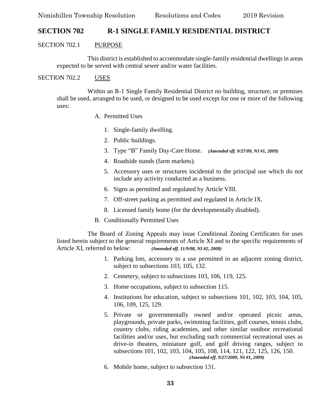# **SECTION 702 R-1 SINGLE FAMILY RESIDENTIAL DISTRICT**

### SECTION 702.1 PURPOSE

This district is established to accommodate single-family residential dwellings in areas expected to be served with central sewer and/or water facilities.

### SECTION 702.2 USES

Within an R-1 Single Family Residential District no building, structure, or premises shall be used, arranged to be used, or designed to be used except for one or more of the following uses:

- A. Permitted Uses
	- 1. Single-family dwelling.
	- 2. Public buildings.
	- 3. Type "B" Family Day-Care Home. *(Amended eff. 9/27/09, NI #1, 2009)*
	- 4. Roadside stands (farm markets).
	- 5. Accessory uses or structures incidental to the principal use which do not include any activity conducted as a business.
	- 6. Signs as permitted and regulated by Article VIII.
	- 7. Off-street parking as permitted and regulated in Article IX.
	- 8. Licensed family home (for the developmentally disabled).
- B. Conditionally Permitted Uses

The Board of Zoning Appeals may issue Conditional Zoning Certificates for uses listed herein subject to the general requirements of Article XI and to the specific requirements of Article XI, referred to below: *(Amended eff. 11/9/08, NI #2, 2008)*

- 1. Parking lots, accessory to a use permitted in an adjacent zoning district, subject to subsections 103, 105, 132.
- 2. Cemetery, subject to subsections 103, 106, 119, 125.
- 3. Home occupations, subject to subsection 115.
- 4. Institutions for education, subject to subsections 101, 102, 103, 104, 105, 106, 109, 125, 129.
- 5. Private or governmentally owned and/or operated picnic areas, playgrounds, private parks, swimming facilities, golf courses, tennis clubs, country clubs, riding academies, and other similar outdoor recreational facilities and/or uses, but excluding such commercial recreational uses as drive-in theaters, miniature golf, and golf driving ranges, subject to subsections 101, 102, 103, 104, 105, 108, 114, 121, 122, 125, 126, 150. *(Amended eff. 9/27/2009, NI #1, 2009)*
- 6. Mobile home, subject to subsection 131.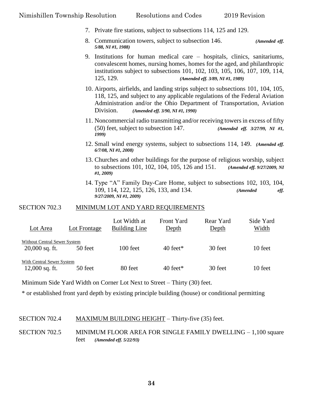- 7. Private fire stations, subject to subsections 114, 125 and 129.
- 8. Communication towers, subject to subsection 146. *(Amended eff. 5/88, NI #1, 1988)*
- 9. Institutions for human medical care hospitals, clinics, sanitariums, convalescent homes, nursing homes, homes for the aged, and philanthropic institutions subject to subsections 101, 102, 103, 105, 106, 107, 109, 114, 125, 129. *(Amended eff. 3/89, NI #1, 1989)*
- 10. Airports, airfields, and landing strips subject to subsections 101, 104, 105, 118, 125, and subject to any applicable regulations of the Federal Aviation Administration and/or the Ohio Department of Transportation, Aviation Division. *(Amended eff. 3/90, NI #1, 1990)*
- 11. Noncommercial radio transmitting and/or receiving towers in excess of fifty (50) feet, subject to subsection 147. *(Amended eff. 3/27/99, NI #1, 1999)*
- 12. Small wind energy systems, subject to subsections 114, 149. *(Amended eff. 6/7/08, NI #1, 2008)*
- 13. Churches and other buildings for the purpose of religious worship, subject to subsections 101, 102, 104, 105, 126 and 151. *(Amended eff. 9/27/2009, NI #1, 2009)*
- 14. Type "A" Family Day-Care Home, subject to subsections 102, 103, 104, 109, 114, 122, 125, 126, 133, and 134. *(Amended eff. 9/27/2009, NI #1, 2009)*

#### SECTION 702.3 MINIMUM LOT AND YARD REQUIREMENTS

| Lot Area                                                | Lot Frontage | Lot Width at<br><b>Building Line</b> | <b>Front Yard</b><br>Depth | Rear Yard<br>Depth | Side Yard<br>Width |
|---------------------------------------------------------|--------------|--------------------------------------|----------------------------|--------------------|--------------------|
| <b>Without Central Sewer System</b><br>$20,000$ sq. ft. | 50 feet      | 100 feet                             | 40 feet $*$                | 30 feet            | 10 feet            |
| With Central Sewer System<br>$12,000$ sq. ft.           | 50 feet      | 80 feet                              | 40 feet $*$                | 30 feet            | 10 feet            |

Minimum Side Yard Width on Corner Lot Next to Street – Thirty (30) feet.

\* or established front yard depth by existing principle building (house) or conditional permitting

# SECTION 702.4 MAXIMUM BUILDING HEIGHT – Thirty-five (35) feet.

SECTION 702.5 MINIMUM FLOOR AREA FOR SINGLE FAMILY DWELLING – 1,100 square feet *(Amended eff. 5/22/93)*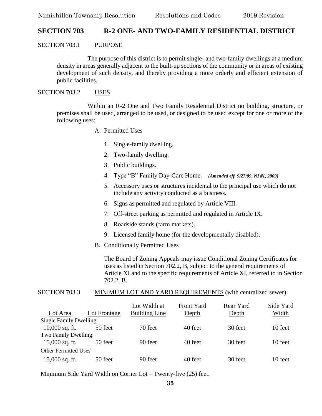# **SECTION 703 R-2 ONE- AND TWO-FAMILY RESIDENTIAL DISTRICT**

SECTION 703.1 PURPOSE

The purpose of this district is to permit single- and two-family dwellings at a medium density in areas generally adjacent to the built-up sections of the community or in areas of existing development of such density, and thereby providing a more orderly and efficient extension of public facilities.

SECTION 703.2 USES

Within an R-2 One and Two Family Residential District no building, structure, or premises shall be used, arranged to be used, or designed to be used except for one or more of the following uses:

- A. Permitted Uses
	- 1. Single-family dwelling.
	- 2. Two-family dwelling.
	- 3. Public buildings.
	- 4. Type "B" Family Day-Care Home. *(Amended eff. 9/27/09, NI #1, 2009)*
	- 5. Accessory uses or structures incidental to the principal use which do not include any activity conducted as a business.
	- 6. Signs as permitted and regulated by Article VIII.
	- 7. Off-street parking as permitted and regulated in Article IX.
	- 8. Roadside stands (farm markets).
	- 9. Licensed family home (for the developmentally disabled).
- B. Conditionally Permitted Uses

The Board of Zoning Appeals may issue Conditional Zoning Certificates for uses as listed in Section 702.2, B, subject to the general requirements of Article XI and to the specific requirements of Article XI, referred to in Section 702.2, B.

### SECTION 703.3 MINIMUM LOT AND YARD REQUIREMENTS (with centralized sewer)

|                             | Lot Width at | Front Yard           | Rear Yard | Side Yard<br>Width |  |  |  |
|-----------------------------|--------------|----------------------|-----------|--------------------|--|--|--|
|                             |              |                      |           |                    |  |  |  |
| Single Family Dwelling:     |              |                      |           |                    |  |  |  |
| 50 feet                     | 70 feet      | 40 feet              | 30 feet   | 10 feet            |  |  |  |
| Two Family Dwelling:        |              |                      |           |                    |  |  |  |
| 50 feet                     | 90 feet      | 40 feet              | 30 feet   | 10 feet            |  |  |  |
| <b>Other Permitted Uses</b> |              |                      |           |                    |  |  |  |
| 50 feet                     | 90 feet      | 40 feet              | 30 feet   | 10 feet            |  |  |  |
|                             | Lot Frontage | <b>Building Line</b> | Depth     | Depth              |  |  |  |

Minimum Side Yard Width on Corner Lot – Twenty-five (25) feet.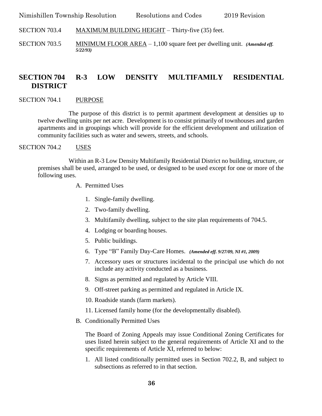Nimishillen Township Resolution Resolutions and Codes 2019 Revision

- SECTION 703.4 MAXIMUM BUILDING HEIGHT Thirty-five (35) feet.
- SECTION 703.5 MINIMUM FLOOR AREA 1,100 square feet per dwelling unit. *(Amended eff. 5/22/93)*

# **SECTION 704 R-3 LOW DENSITY MULTIFAMILY RESIDENTIAL DISTRICT**

### SECTION 704.1 PURPOSE

The purpose of this district is to permit apartment development at densities up to twelve dwelling units per net acre. Development is to consist primarily of townhouses and garden apartments and in groupings which will provide for the efficient development and utilization of community facilities such as water and sewers, streets, and schools.

# SECTION 704.2 USES

Within an R-3 Low Density Multifamily Residential District no building, structure, or premises shall be used, arranged to be used, or designed to be used except for one or more of the following uses.

- A. Permitted Uses
	- 1. Single-family dwelling.
	- 2. Two-family dwelling.
	- 3. Multifamily dwelling, subject to the site plan requirements of 704.5.
	- 4. Lodging or boarding houses.
	- 5. Public buildings.
	- 6. Type "B" Family Day-Care Homes. *(Amended eff. 9/27/09, NI #1, 2009)*
	- 7. Accessory uses or structures incidental to the principal use which do not include any activity conducted as a business.
	- 8. Signs as permitted and regulated by Article VIII.
	- 9. Off-street parking as permitted and regulated in Article IX.
	- 10. Roadside stands (farm markets).
	- 11. Licensed family home (for the developmentally disabled).
- B. Conditionally Permitted Uses

The Board of Zoning Appeals may issue Conditional Zoning Certificates for uses listed herein subject to the general requirements of Article XI and to the specific requirements of Article XI, referred to below:

1. All listed conditionally permitted uses in Section 702.2, B, and subject to subsections as referred to in that section.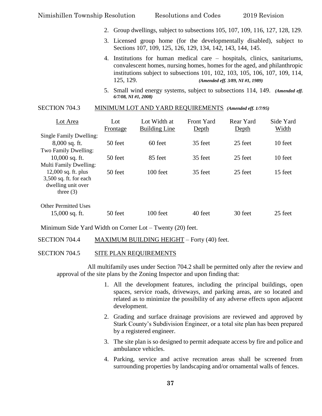- 2. Group dwellings, subject to subsections 105, 107, 109, 116, 127, 128, 129.
- 3. Licensed group home (for the developmentally disabled), subject to Sections 107, 109, 125, 126, 129, 134, 142, 143, 144, 145.
- 4. Institutions for human medical care hospitals, clinics, sanitariums, convalescent homes, nursing homes, homes for the aged, and philanthropic institutions subject to subsections 101, 102, 103, 105, 106, 107, 109, 114, 125, 129. *(Amended eff. 3/89, NI #1, 1989)*
- 5. Small wind energy systems, subject to subsections 114, 149. *(Amended eff. 6/7/08, NI #1, 2008)*

#### SECTION 704.3 MINIMUM LOT AND YARD REQUIREMENTS *(Amended eff. 1/7/95)*

| Lot Area                                                                               | Lot<br>Frontage | Lot Width at<br><b>Building Line</b> | <b>Front Yard</b><br>Depth | Rear Yard<br>Depth | Side Yard<br>Width |
|----------------------------------------------------------------------------------------|-----------------|--------------------------------------|----------------------------|--------------------|--------------------|
| Single Family Dwelling:                                                                |                 |                                      |                            |                    |                    |
| $8,000$ sq. ft.                                                                        | 50 feet         | 60 feet                              | 35 feet                    | 25 feet            | 10 feet            |
| Two Family Dwelling:                                                                   |                 |                                      |                            |                    |                    |
| $10,000$ sq. ft.                                                                       | 50 feet         | 85 feet                              | 35 feet                    | 25 feet            | 10 feet            |
| Multi Family Dwelling:                                                                 |                 |                                      |                            |                    |                    |
| $12,000$ sq. ft. plus<br>$3,500$ sq. ft. for each<br>dwelling unit over<br>three $(3)$ | 50 feet         | $100$ feet                           | 35 feet                    | 25 feet            | 15 feet            |
| <b>Other Permitted Uses</b><br>$15,000$ sq. ft.                                        | 50 feet         | $100$ feet                           | 40 feet                    | 30 feet            | 25 feet            |

Minimum Side Yard Width on Corner Lot – Twenty (20) feet.

SECTION 704.4 MAXIMUM BUILDING HEIGHT – Forty (40) feet.

SECTION 704.5 SITE PLAN REQUIREMENTS

All multifamily uses under Section 704.2 shall be permitted only after the review and approval of the site plans by the Zoning Inspector and upon finding that:

- 1. All the development features, including the principal buildings, open spaces, service roads, driveways, and parking areas, are so located and related as to minimize the possibility of any adverse effects upon adjacent development.
- 2. Grading and surface drainage provisions are reviewed and approved by Stark County's Subdivision Engineer, or a total site plan has been prepared by a registered engineer.
- 3. The site plan is so designed to permit adequate access by fire and police and ambulance vehicles.
- 4. Parking, service and active recreation areas shall be screened from surrounding properties by landscaping and/or ornamental walls of fences.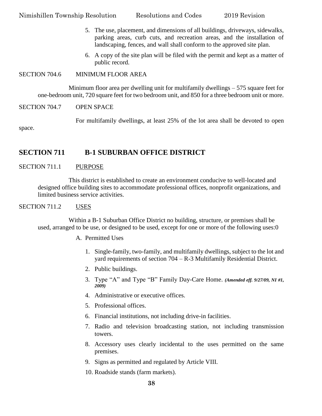- 5. The use, placement, and dimensions of all buildings, driveways, sidewalks, parking areas, curb cuts, and recreation areas, and the installation of landscaping, fences, and wall shall conform to the approved site plan.
- 6. A copy of the site plan will be filed with the permit and kept as a matter of public record.

# SECTION 704.6 MINIMUM FLOOR AREA

Minimum floor area per dwelling unit for multifamily dwellings – 575 square feet for one-bedroom unit, 720 square feet for two bedroom unit, and 850 for a three bedroom unit or more.

# SECTION 704.7 OPEN SPACE

For multifamily dwellings, at least 25% of the lot area shall be devoted to open

space.

# **SECTION 711 B-1 SUBURBAN OFFICE DISTRICT**

# SECTION 711.1 PURPOSE

This district is established to create an environment conducive to well-located and designed office building sites to accommodate professional offices, nonprofit organizations, and limited business service activities.

### SECTION 711.2 USES

Within a B-1 Suburban Office District no building, structure, or premises shall be used, arranged to be use, or designed to be used, except for one or more of the following uses:0

### A. Permitted Uses

- 1. Single-family, two-family, and multifamily dwellings, subject to the lot and yard requirements of section 704 – R-3 Multifamily Residential District.
- 2. Public buildings.
- 3. Type "A" and Type "B" Family Day-Care Home. *(Amended eff. 9/27/09, NI #1, 2009)*
- 4. Administrative or executive offices.
- 5. Professional offices.
- 6. Financial institutions, not including drive-in facilities.
- 7. Radio and television broadcasting station, not including transmission towers.
- 8. Accessory uses clearly incidental to the uses permitted on the same premises.
- 9. Signs as permitted and regulated by Article VIII.
- 10. Roadside stands (farm markets).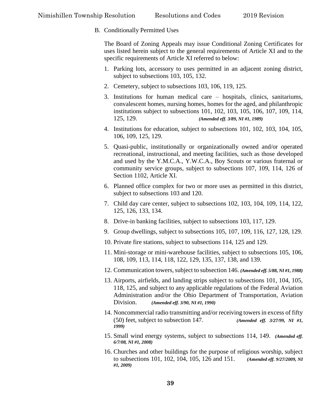B. Conditionally Permitted Uses

The Board of Zoning Appeals may issue Conditional Zoning Certificates for uses listed herein subject to the general requirements of Article XI and to the specific requirements of Article XI referred to below:

- 1. Parking lots, accessory to uses permitted in an adjacent zoning district, subject to subsections 103, 105, 132.
- 2. Cemetery, subject to subsections 103, 106, 119, 125.
- 3. Institutions for human medical care hospitals, clinics, sanitariums, convalescent homes, nursing homes, homes for the aged, and philanthropic institutions subject to subsections 101, 102, 103, 105, 106, 107, 109, 114, 125, 129. *(Amended eff. 3/89, NI #1, 1989)*
- 4. Institutions for education, subject to subsections 101, 102, 103, 104, 105, 106, 109, 125, 129.
- 5. Quasi-public, institutionally or organizationally owned and/or operated recreational, instructional, and meeting facilities, such as those developed and used by the Y.M.C.A., Y.W.C.A., Boy Scouts or various fraternal or community service groups, subject to subsections 107, 109, 114, 126 of Section 1102, Article XI.
- 6. Planned office complex for two or more uses as permitted in this district, subject to subsections 103 and 120.
- 7. Child day care center, subject to subsections 102, 103, 104, 109, 114, 122, 125, 126, 133, 134.
- 8. Drive-in banking facilities, subject to subsections 103, 117, 129.
- 9. Group dwellings, subject to subsections 105, 107, 109, 116, 127, 128, 129.
- 10. Private fire stations, subject to subsections 114, 125 and 129.
- 11. Mini-storage or mini-warehouse facilities, subject to subsections 105, 106, 108, 109, 113, 114, 118, 122, 129, 135, 137, 138, and 139.
- 12. Communication towers, subject to subsection 146. *(Amended eff. 5/88, NI #1, 1988)*
- 13. Airports, airfields, and landing strips subject to subsections 101, 104, 105, 118, 125, and subject to any applicable regulations of the Federal Aviation Administration and/or the Ohio Department of Transportation, Aviation Division. *(Amended eff. 3/90, NI #1, 1990)*
- 14. Noncommercial radio transmitting and/or receiving towers in excess of fifty (50) feet, subject to subsection 147. *(Amended eff. 3/27/99, NI #1, 1999)*
- 15. Small wind energy systems, subject to subsections 114, 149. *(Amended eff. 6/7/08, NI #1, 2008)*
- 16. Churches and other buildings for the purpose of religious worship, subject to subsections 101, 102, 104, 105, 126 and 151. *(Amended eff. 9/27/2009, NI #1, 2009)*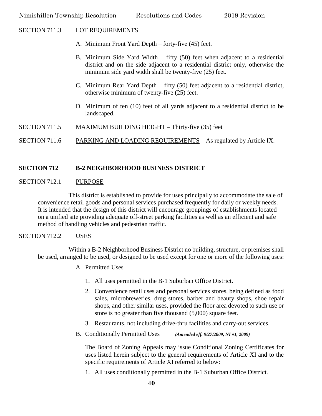# SECTION 711.3 LOT REQUIREMENTS

- A. Minimum Front Yard Depth forty-five (45) feet.
- B. Minimum Side Yard Width fifty (50) feet when adjacent to a residential district and on the side adjacent to a residential district only, otherwise the minimum side yard width shall be twenty-five (25) feet.
- C. Minimum Rear Yard Depth fifty (50) feet adjacent to a residential district, otherwise minimum of twenty-five (25) feet.
- D. Minimum of ten (10) feet of all yards adjacent to a residential district to be landscaped.

# SECTION 711.5 MAXIMUM BUILDING HEIGHT – Thirty-five (35) feet

SECTION 711.6 PARKING AND LOADING REQUIREMENTS – As regulated by Article IX.

# **SECTION 712 B-2 NEIGHBORHOOD BUSINESS DISTRICT**

### SECTION 712.1 PURPOSE

This district is established to provide for uses principally to accommodate the sale of convenience retail goods and personal services purchased frequently for daily or weekly needs. It is intended that the design of this district will encourage groupings of establishments located on a unified site providing adequate off-street parking facilities as well as an efficient and safe method of handling vehicles and pedestrian traffic.

### SECTION 712.2 USES

Within a B-2 Neighborhood Business District no building, structure, or premises shall be used, arranged to be used, or designed to be used except for one or more of the following uses:

- A. Permitted Uses
	- 1. All uses permitted in the B-1 Suburban Office District.
	- 2. Convenience retail uses and personal services stores, being defined as food sales, microbreweries, drug stores, barber and beauty shops, shoe repair shops, and other similar uses, provided the floor area devoted to such use or store is no greater than five thousand (5,000) square feet.
	- 3. Restaurants, not including drive-thru facilities and carry-out services.
- B. Conditionally Permitted Uses *(Amended eff. 9/27/2009, NI #1, 2009)*

The Board of Zoning Appeals may issue Conditional Zoning Certificates for uses listed herein subject to the general requirements of Article XI and to the specific requirements of Article XI referred to below:

1. All uses conditionally permitted in the B-1 Suburban Office District.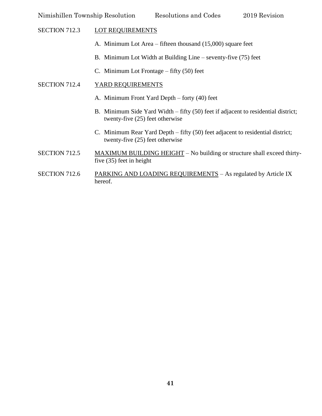Nimishillen Township Resolution Resolutions and Codes 2019 Revision

### SECTION 712.3 LOT REQUIREMENTS

- A. Minimum Lot Area fifteen thousand (15,000) square feet
- B. Minimum Lot Width at Building Line seventy-five (75) feet
- C. Minimum Lot Frontage fifty (50) feet

### SECTION 712.4 YARD REQUIREMENTS

- A. Minimum Front Yard Depth forty (40) feet
- B. Minimum Side Yard Width fifty (50) feet if adjacent to residential district; twenty-five (25) feet otherwise
- C. Minimum Rear Yard Depth fifty (50) feet adjacent to residential district; twenty-five (25) feet otherwise
- SECTION 712.5 MAXIMUM BUILDING HEIGHT No building or structure shall exceed thirtyfive (35) feet in height
- SECTION 712.6 PARKING AND LOADING REQUIREMENTS As regulated by Article IX hereof.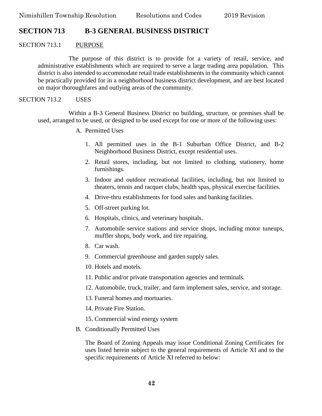# **SECTION 713 B-3 GENERAL BUSINESS DISTRICT**

# SECTION 713.1 PURPOSE

The purpose of this district is to provide for a variety of retail, service, and administrative establishments which are required to serve a large trading area population. This district is also intended to accommodate retail trade establishments in the community which cannot be practically provided for in a neighborhood business district development, and are best located on major thoroughfares and outlying areas of the community.

### SECTION 713.2 USES

Within a B-3 General Business District no building, structure, or premises shall be used, arranged to be used, or designed to be used except for one or more of the following uses:

- A. Permitted Uses
	- 1. All permitted uses in the B-1 Suburban Office District, and B-2 Neighborhood Business District, except residential uses.
	- 2. Retail stores, including, but not limited to clothing, stationery, home furnishings.
	- 3. Indoor and outdoor recreational facilities, including, but not limited to theaters, tennis and racquet clubs, health spas, physical exercise facilities.
	- 4. Drive-thru establishments for food sales and banking facilities.
	- 5. Off-street parking lot.
	- 6. Hospitals, clinics, and veterinary hospitals.
	- 7. Automobile service stations and service shops, including motor tuneups, muffler shops, body work, and tire repairing.
	- 8. Car wash.
	- 9. Commercial greenhouse and garden supply sales.
	- 10. Hotels and motels.
	- 11. Public and/or private transportation agencies and terminals.
	- 12. Automobile, truck, trailer, and farm implement sales, service, and storage.
	- 13. Funeral homes and mortuaries.
	- 14. Private Fire Station.
	- 15. Commercial wind energy system
- B. Conditionally Permitted Uses

The Board of Zoning Appeals may issue Conditional Zoning Certificates for uses listed herein subject to the general requirements of Article XI and to the specific requirements of Article XI referred to below: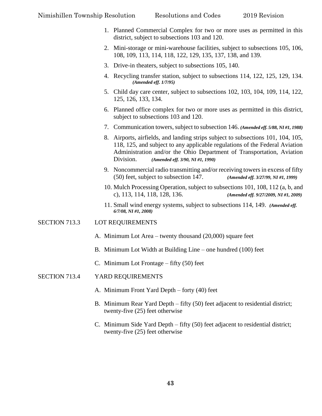- 1. Planned Commercial Complex for two or more uses as permitted in this district, subject to subsections 103 and 120.
- 2. Mini-storage or mini-warehouse facilities, subject to subsections 105, 106, 108, 109, 113, 114, 118, 122, 129, 135, 137, 138, and 139.
- 3. Drive-in theaters, subject to subsections 105, 140.
- 4. Recycling transfer station, subject to subsections 114, 122, 125, 129, 134. *(Amended eff. 1/7/95)*
- 5. Child day care center, subject to subsections 102, 103, 104, 109, 114, 122, 125, 126, 133, 134.
- 6. Planned office complex for two or more uses as permitted in this district, subject to subsections 103 and 120.
- 7. Communication towers, subject to subsection 146. *(Amended eff. 5/88, NI #1, 1988)*
- 8. Airports, airfields, and landing strips subject to subsections 101, 104, 105, 118, 125, and subject to any applicable regulations of the Federal Aviation Administration and/or the Ohio Department of Transportation, Aviation Division. *(Amended eff. 3/90, NI #1, 1990)*
- 9. Noncommercial radio transmitting and/or receiving towers in excess of fifty (50) feet, subject to subsection 147. *(Amended eff. 3/27/99, NI #1, 1999)*
- 10. Mulch Processing Operation, subject to subsections 101, 108, 112 (a, b, and c), 113, 114, 118, 128, 136. *(Amended eff. 9/27/2009, NI #1, 2009)*
- 11. Small wind energy systems, subject to subsections 114, 149. *(Amended eff. 6/7/08, NI #1, 2008)*
- SECTION 713.3 LOT REQUIREMENTS
	- A. Minimum Lot Area twenty thousand (20,000) square feet
	- B. Minimum Lot Width at Building Line one hundred (100) feet
	- C. Minimum Lot Frontage fifty (50) feet
- SECTION 713.4 YARD REQUIREMENTS
	- A. Minimum Front Yard Depth forty (40) feet
	- B. Minimum Rear Yard Depth fifty (50) feet adjacent to residential district; twenty-five (25) feet otherwise
	- C. Minimum Side Yard Depth fifty (50) feet adjacent to residential district; twenty-five (25) feet otherwise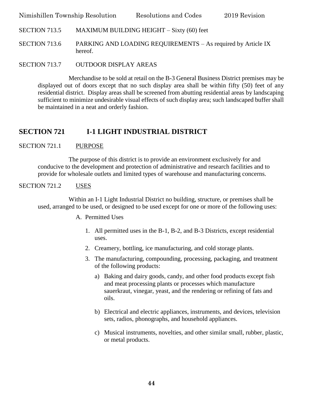Nimishillen Township Resolution Resolutions and Codes 2019 Revision

SECTION 713.5 MAXIMUM BUILDING HEIGHT – Sixty (60) feet

SECTION 713.6 PARKING AND LOADING REQUIREMENTS – As required by Article IX hereof.

SECTION 713.7 OUTDOOR DISPLAY AREAS

Merchandise to be sold at retail on the B-3 General Business District premises may be displayed out of doors except that no such display area shall be within fifty (50) feet of any residential district. Display areas shall be screened from abutting residential areas by landscaping sufficient to minimize undesirable visual effects of such display area; such landscaped buffer shall be maintained in a neat and orderly fashion.

# **SECTION 721 I-1 LIGHT INDUSTRIAL DISTRICT**

### SECTION 721.1 PURPOSE

The purpose of this district is to provide an environment exclusively for and conducive to the development and protection of administrative and research facilities and to provide for wholesale outlets and limited types of warehouse and manufacturing concerns.

## SECTION 721.2 USES

Within an I-1 Light Industrial District no building, structure, or premises shall be used, arranged to be used, or designed to be used except for one or more of the following uses:

- A. Permitted Uses
	- 1. All permitted uses in the B-1, B-2, and B-3 Districts, except residential uses.
	- 2. Creamery, bottling, ice manufacturing, and cold storage plants.
	- 3. The manufacturing, compounding, processing, packaging, and treatment of the following products:
		- a) Baking and dairy goods, candy, and other food products except fish and meat processing plants or processes which manufacture sauerkraut, vinegar, yeast, and the rendering or refining of fats and oils.
		- b) Electrical and electric appliances, instruments, and devices, television sets, radios, phonographs, and household appliances.
		- c) Musical instruments, novelties, and other similar small, rubber, plastic, or metal products.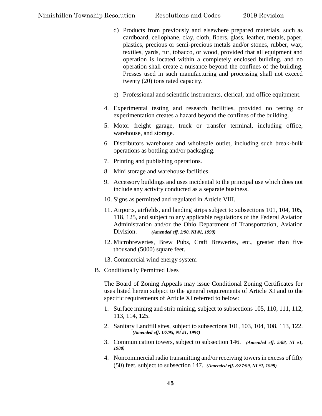- d) Products from previously and elsewhere prepared materials, such as cardboard, cellophane, clay, cloth, fibers, glass, leather, metals, paper, plastics, precious or semi-precious metals and/or stones, rubber, wax, textiles, yards, fur, tobacco, or wood, provided that all equipment and operation is located within a completely enclosed building, and no operation shall create a nuisance beyond the confines of the building. Presses used in such manufacturing and processing shall not exceed twenty (20) tons rated capacity.
- e) Professional and scientific instruments, clerical, and office equipment.
- 4. Experimental testing and research facilities, provided no testing or experimentation creates a hazard beyond the confines of the building.
- 5. Motor freight garage, truck or transfer terminal, including office, warehouse, and storage.
- 6. Distributors warehouse and wholesale outlet, including such break-bulk operations as bottling and/or packaging.
- 7. Printing and publishing operations.
- 8. Mini storage and warehouse facilities.
- 9. Accessory buildings and uses incidental to the principal use which does not include any activity conducted as a separate business.
- 10. Signs as permitted and regulated in Article VIII.
- 11. Airports, airfields, and landing strips subject to subsections 101, 104, 105, 118, 125, and subject to any applicable regulations of the Federal Aviation Administration and/or the Ohio Department of Transportation, Aviation Division. *(Amended eff. 3/90, NI #1, 1990)*
- 12. Microbreweries, Brew Pubs, Craft Breweries, etc., greater than five thousand (5000) square feet.
- 13. Commercial wind energy system
- B. Conditionally Permitted Uses

The Board of Zoning Appeals may issue Conditional Zoning Certificates for uses listed herein subject to the general requirements of Article XI and to the specific requirements of Article XI referred to below:

- 1. Surface mining and strip mining, subject to subsections 105, 110, 111, 112, 113, 114, 125.
- 2. Sanitary Landfill sites, subject to subsections 101, 103, 104, 108, 113, 122. *(Amended eff. 1/7/95, NI #1, 1994)*
- 3. Communication towers, subject to subsection 146. *(Amended eff. 5/88, NI #1, 1988)*
- 4. Noncommercial radio transmitting and/or receiving towers in excess of fifty (50) feet, subject to subsection 147. *(Amended eff. 3/27/99, NI #1, 1999)*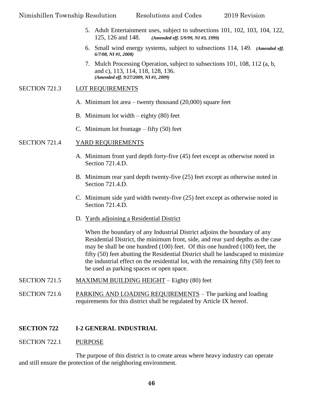- 5. Adult Entertainment uses, subject to subsections 101, 102, 103, 104, 122, 125, 126 and 148. *(Amended eff. 5/9/99, NI #3, 1999)*
- 6. Small wind energy systems, subject to subsections 114, 149. *(Amended eff. 6/7/08, NI #1, 2008)*
- 7. Mulch Processing Operation, subject to subsections 101, 108, 112 (a, b, and c), 113, 114, 118, 128, 136. *(Amended eff. 9/27/2009, NI #1, 2009)*

# SECTION 721.3 LOT REQUIREMENTS

- A. Minimum lot area twenty thousand (20,000) square feet
- B. Minimum lot width eighty (80) feet
- C. Minimum lot frontage fifty (50) feet

# SECTION 721.4 YARD REQUIREMENTS

- A. Minimum front yard depth forty-five (45) feet except as otherwise noted in Section 721.4.D.
- B. Minimum rear yard depth twenty-five (25) feet except as otherwise noted in Section 721.4.D.
- C. Minimum side yard width twenty-five (25) feet except as otherwise noted in Section 721.4.D.
- D. Yards adjoining a Residential District

When the boundary of any Industrial District adjoins the boundary of any Residential District, the minimum front, side, and rear yard depths as the case may be shall be one hundred (100) feet. Of this one hundred (100) feet, the fifty (50) feet abutting the Residential District shall be landscaped to minimize the industrial effect on the residential lot, with the remaining fifty (50) feet to be used as parking spaces or open space.

- SECTION 721.5 MAXIMUM BUILDING HEIGHT Eighty (80) feet
- SECTION 721.6 PARKING AND LOADING REQUIREMENTS The parking and loading requirements for this district shall be regulated by Article IX hereof.

### **SECTION 722 I-2 GENERAL INDUSTRIAL**

### SECTION 722.1 PURPOSE

The purpose of this district is to create areas where heavy industry can operate and still ensure the protection of the neighboring environment.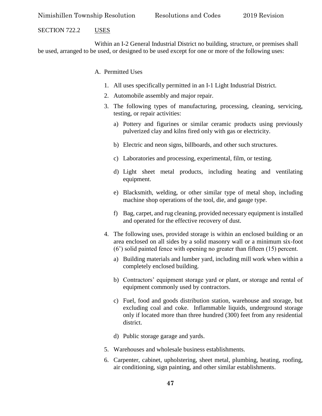# SECTION 722.2 USES

Within an I-2 General Industrial District no building, structure, or premises shall be used, arranged to be used, or designed to be used except for one or more of the following uses:

## A. Permitted Uses

- 1. All uses specifically permitted in an I-1 Light Industrial District.
- 2. Automobile assembly and major repair.
- 3. The following types of manufacturing, processing, cleaning, servicing, testing, or repair activities:
	- a) Pottery and figurines or similar ceramic products using previously pulverized clay and kilns fired only with gas or electricity.
	- b) Electric and neon signs, billboards, and other such structures.
	- c) Laboratories and processing, experimental, film, or testing.
	- d) Light sheet metal products, including heating and ventilating equipment.
	- e) Blacksmith, welding, or other similar type of metal shop, including machine shop operations of the tool, die, and gauge type.
	- f) Bag, carpet, and rug cleaning, provided necessary equipment is installed and operated for the effective recovery of dust.
- 4. The following uses, provided storage is within an enclosed building or an area enclosed on all sides by a solid masonry wall or a minimum six-foot (6') solid painted fence with opening no greater than fifteen (15) percent.
	- a) Building materials and lumber yard, including mill work when within a completely enclosed building.
	- b) Contractors' equipment storage yard or plant, or storage and rental of equipment commonly used by contractors.
	- c) Fuel, food and goods distribution station, warehouse and storage, but excluding coal and coke. Inflammable liquids, underground storage only if located more than three hundred (300) feet from any residential district.
	- d) Public storage garage and yards.
- 5. Warehouses and wholesale business establishments.
- 6. Carpenter, cabinet, upholstering, sheet metal, plumbing, heating, roofing, air conditioning, sign painting, and other similar establishments.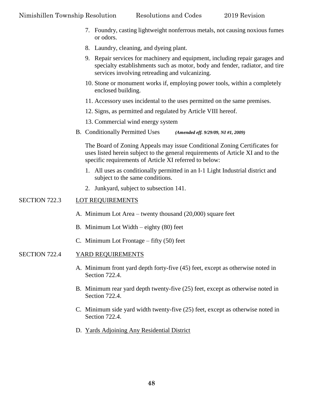- 7. Foundry, casting lightweight nonferrous metals, not causing noxious fumes or odors. 8. Laundry, cleaning, and dyeing plant. 9. Repair services for machinery and equipment, including repair garages and specialty establishments such as motor, body and fender, radiator, and tire services involving retreading and vulcanizing. 10. Stone or monument works if, employing power tools, within a completely enclosed building. 11. Accessory uses incidental to the uses permitted on the same premises. 12. Signs, as permitted and regulated by Article VIII hereof. 13. Commercial wind energy system
	- B. Conditionally Permitted Uses *(Amended eff. 9/29/09, NI #1, 2009)*

The Board of Zoning Appeals may issue Conditional Zoning Certificates for uses listed herein subject to the general requirements of Article XI and to the specific requirements of Article XI referred to below:

- 1. All uses as conditionally permitted in an I-1 Light Industrial district and subject to the same conditions.
- 2. Junkyard, subject to subsection 141.

# SECTION 722.3 LOT REQUIREMENTS

- A. Minimum Lot Area twenty thousand (20,000) square feet
- B. Minimum Lot Width eighty (80) feet
- C. Minimum Lot Frontage fifty (50) feet

# SECTION 722.4 YARD REQUIREMENTS

- A. Minimum front yard depth forty-five (45) feet, except as otherwise noted in Section 722.4.
- B. Minimum rear yard depth twenty-five (25) feet, except as otherwise noted in Section 722.4.
- C. Minimum side yard width twenty-five (25) feet, except as otherwise noted in Section 722.4.
- D. Yards Adjoining Any Residential District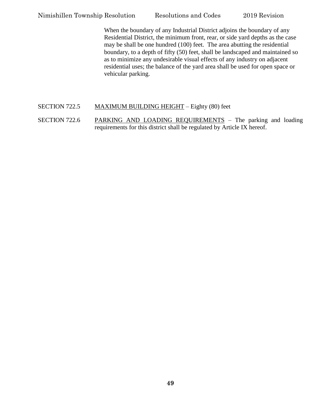Nimishillen Township Resolution Resolutions and Codes 2019 Revision

When the boundary of any Industrial District adjoins the boundary of any Residential District, the minimum front, rear, or side yard depths as the case may be shall be one hundred (100) feet. The area abutting the residential boundary, to a depth of fifty (50) feet, shall be landscaped and maintained so as to minimize any undesirable visual effects of any industry on adjacent residential uses; the balance of the yard area shall be used for open space or vehicular parking.

# SECTION 722.5 MAXIMUM BUILDING HEIGHT – Eighty (80) feet

SECTION 722.6 PARKING AND LOADING REQUIREMENTS - The parking and loading requirements for this district shall be regulated by Article IX hereof.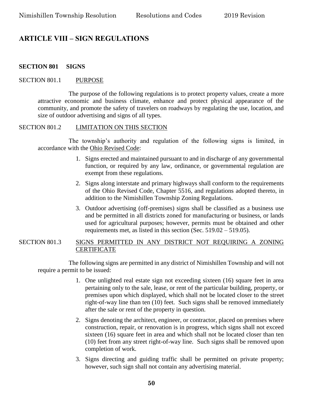# **ARTICLE VIII – SIGN REGULATIONS**

### **SECTION 801 SIGNS**

### SECTION 801.1 PURPOSE

The purpose of the following regulations is to protect property values, create a more attractive economic and business climate, enhance and protect physical appearance of the community, and promote the safety of travelers on roadways by regulating the use, location, and size of outdoor advertising and signs of all types.

### SECTION 801.2 LIMITATION ON THIS SECTION

The township's authority and regulation of the following signs is limited, in accordance with the Ohio Revised Code:

- 1. Signs erected and maintained pursuant to and in discharge of any governmental function, or required by any law, ordinance, or governmental regulation are exempt from these regulations.
- 2. Signs along interstate and primary highways shall conform to the requirements of the Ohio Revised Code, Chapter 5516, and regulations adopted thereto, in addition to the Nimishillen Township Zoning Regulations.
- 3. Outdoor advertising (off-premises) signs shall be classified as a business use and be permitted in all districts zoned for manufacturing or business, or lands used for agricultural purposes; however, permits must be obtained and other requirements met, as listed in this section (Sec. 519.02 – 519.05).

# SECTION 801.3 SIGNS PERMITTED IN ANY DISTRICT NOT REQUIRING A ZONING **CERTIFICATE**

The following signs are permitted in any district of Nimishillen Township and will not require a permit to be issued:

- 1. One unlighted real estate sign not exceeding sixteen (16) square feet in area pertaining only to the sale, lease, or rent of the particular building, property, or premises upon which displayed, which shall not be located closer to the street right-of-way line than ten (10) feet. Such signs shall be removed immediately after the sale or rent of the property in question.
- 2. Signs denoting the architect, engineer, or contractor, placed on premises where construction, repair, or renovation is in progress, which signs shall not exceed sixteen (16) square feet in area and which shall not be located closer than ten (10) feet from any street right-of-way line. Such signs shall be removed upon completion of work.
- 3. Signs directing and guiding traffic shall be permitted on private property; however, such sign shall not contain any advertising material.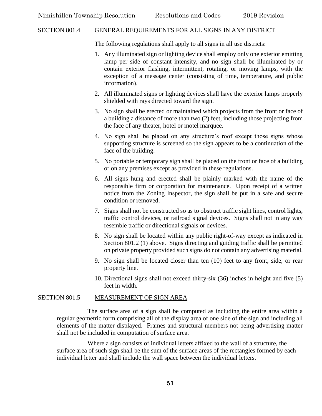### SECTION 801.4 GENERAL REQUIREMENTS FOR ALL SIGNS IN ANY DISTRICT

The following regulations shall apply to all signs in all use districts:

- 1. Any illuminated sign or lighting device shall employ only one exterior emitting lamp per side of constant intensity, and no sign shall be illuminated by or contain exterior flashing, intermittent, rotating, or moving lamps, with the exception of a message center (consisting of time, temperature, and public information).
- 2. All illuminated signs or lighting devices shall have the exterior lamps properly shielded with rays directed toward the sign.
- 3. No sign shall be erected or maintained which projects from the front or face of a building a distance of more than two (2) feet, including those projecting from the face of any theater, hotel or motel marquee.
- 4. No sign shall be placed on any structure's roof except those signs whose supporting structure is screened so the sign appears to be a continuation of the face of the building.
- 5. No portable or temporary sign shall be placed on the front or face of a building or on any premises except as provided in these regulations.
- 6. All signs hung and erected shall be plainly marked with the name of the responsible firm or corporation for maintenance. Upon receipt of a written notice from the Zoning Inspector, the sign shall be put in a safe and secure condition or removed.
- 7. Signs shall not be constructed so as to obstruct traffic sight lines, control lights, traffic control devices, or railroad signal devices. Signs shall not in any way resemble traffic or directional signals or devices.
- 8. No sign shall be located within any public right-of-way except as indicated in Section 801.2 (1) above. Signs directing and guiding traffic shall be permitted on private property provided such signs do not contain any advertising material.
- 9. No sign shall be located closer than ten (10) feet to any front, side, or rear property line.
- 10. Directional signs shall not exceed thirty-six (36) inches in height and five (5) feet in width.

### SECTION 801.5 MEASUREMENT OF SIGN AREA

The surface area of a sign shall be computed as including the entire area within a regular geometric form comprising all of the display area of one side of the sign and including all elements of the matter displayed. Frames and structural members not being advertising matter shall not be included in computation of surface area.

Where a sign consists of individual letters affixed to the wall of a structure, the surface area of such sign shall be the sum of the surface areas of the rectangles formed by each individual letter and shall include the wall space between the individual letters.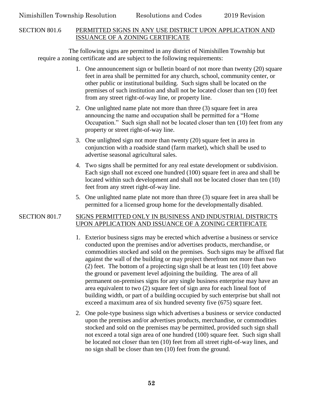Nimishillen Township Resolution Resolutions and Codes 2019 Revision

# SECTION 801.6 PERMITTED SIGNS IN ANY USE DISTRICT UPON APPLICATION AND ISSUANCE OF A ZONING CERTIFICATE

The following signs are permitted in any district of Nimishillen Township but require a zoning certificate and are subject to the following requirements:

- 1. One announcement sign or bulletin board of not more than twenty (20) square feet in area shall be permitted for any church, school, community center, or other public or institutional building. Such signs shall be located on the premises of such institution and shall not be located closer than ten (10) feet from any street right-of-way line, or property line.
- 2. One unlighted name plate not more than three (3) square feet in area announcing the name and occupation shall be permitted for a "Home Occupation." Such sign shall not be located closer than ten (10) feet from any property or street right-of-way line.
- 3. One unlighted sign not more than twenty (20) square feet in area in conjunction with a roadside stand (farm market), which shall be used to advertise seasonal agricultural sales.
- 4. Two signs shall be permitted for any real estate development or subdivision. Each sign shall not exceed one hundred (100) square feet in area and shall be located within such development and shall not be located closer than ten (10) feet from any street right-of-way line.
- 5. One unlighted name plate not more than three (3) square feet in area shall be permitted for a licensed group home for the developmentally disabled.

# SECTION 801.7 SIGNS PERMITTED ONLY IN BUSINESS AND INDUSTRIAL DISTRICTS UPON APPLICATION AND ISSUANCE OF A ZONING CERTIFICATE

- 1. Exterior business signs may be erected which advertise a business or service conducted upon the premises and/or advertises products, merchandise, or commodities stocked and sold on the premises. Such signs may be affixed flat against the wall of the building or may project therefrom not more than two (2) feet. The bottom of a projecting sign shall be at least ten (10) feet above the ground or pavement level adjoining the building. The area of all permanent on-premises signs for any single business enterprise may have an area equivalent to two (2) square feet of sign area for each lineal foot of building width, or part of a building occupied by such enterprise but shall not exceed a maximum area of six hundred seventy five (675) square feet.
- 2. One pole-type business sign which advertises a business or service conducted upon the premises and/or advertises products, merchandise, or commodities stocked and sold on the premises may be permitted, provided such sign shall not exceed a total sign area of one hundred (100) square feet. Such sign shall be located not closer than ten (10) feet from all street right-of-way lines, and no sign shall be closer than ten (10) feet from the ground.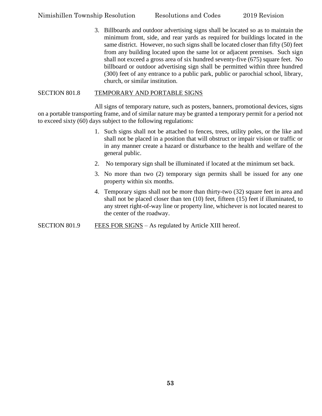3. Billboards and outdoor advertising signs shall be located so as to maintain the minimum front, side, and rear yards as required for buildings located in the same district. However, no such signs shall be located closer than fifty (50) feet from any building located upon the same lot or adjacent premises. Such sign shall not exceed a gross area of six hundred seventy-five (675) square feet. No billboard or outdoor advertising sign shall be permitted within three hundred (300) feet of any entrance to a public park, public or parochial school, library, church, or similar institution.

# SECTION 801.8 TEMPORARY AND PORTABLE SIGNS

All signs of temporary nature, such as posters, banners, promotional devices, signs on a portable transporting frame, and of similar nature may be granted a temporary permit for a period not to exceed sixty (60) days subject to the following regulations:

- 1. Such signs shall not be attached to fences, trees, utility poles, or the like and shall not be placed in a position that will obstruct or impair vision or traffic or in any manner create a hazard or disturbance to the health and welfare of the general public.
- 2. No temporary sign shall be illuminated if located at the minimum set back.
- 3. No more than two (2) temporary sign permits shall be issued for any one property within six months.
- 4. Temporary signs shall not be more than thirty-two (32) square feet in area and shall not be placed closer than ten (10) feet, fifteen (15) feet if illuminated, to any street right-of-way line or property line, whichever is not located nearest to the center of the roadway.
- SECTION 801.9 FEES FOR SIGNS As regulated by Article XIII hereof.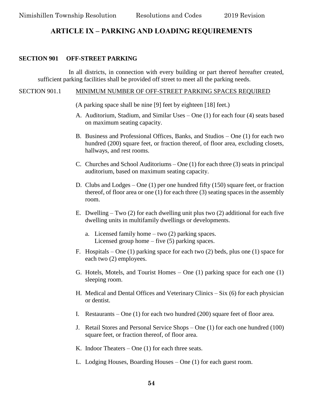# **ARTICLE IX – PARKING AND LOADING REQUIREMENTS**

### **SECTION 901 OFF-STREET PARKING**

In all districts, in connection with every building or part thereof hereafter created, sufficient parking facilities shall be provided off street to meet all the parking needs.

### SECTION 901.1 MINIMUM NUMBER OF OFF-STREET PARKING SPACES REQUIRED

(A parking space shall be nine [9] feet by eighteen [18] feet.)

- A. Auditorium, Stadium, and Similar Uses One (1) for each four (4) seats based on maximum seating capacity.
- B. Business and Professional Offices, Banks, and Studios One (1) for each two hundred (200) square feet, or fraction thereof, of floor area, excluding closets, hallways, and rest rooms.
- C. Churches and School Auditoriums One (1) for each three (3) seats in principal auditorium, based on maximum seating capacity.
- D. Clubs and Lodges One (1) per one hundred fifty (150) square feet, or fraction thereof, of floor area or one (1) for each three (3) seating spaces in the assembly room.
- E. Dwelling Two (2) for each dwelling unit plus two (2) additional for each five dwelling units in multifamily dwellings or developments.
	- a. Licensed family home  $-$  two  $(2)$  parking spaces. Licensed group home – five (5) parking spaces.
- F. Hospitals One (1) parking space for each two (2) beds, plus one (1) space for each two (2) employees.
- G. Hotels, Motels, and Tourist Homes One (1) parking space for each one (1) sleeping room.
- H. Medical and Dental Offices and Veterinary Clinics Six (6) for each physician or dentist.
- I. Restaurants One (1) for each two hundred (200) square feet of floor area.
- J. Retail Stores and Personal Service Shops One (1) for each one hundred (100) square feet, or fraction thereof, of floor area.
- K. Indoor Theaters One (1) for each three seats.
- L. Lodging Houses, Boarding Houses One (1) for each guest room.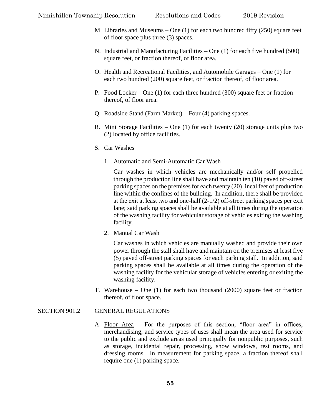- M. Libraries and Museums One  $(1)$  for each two hundred fifty  $(250)$  square feet of floor space plus three (3) spaces.
- N. Industrial and Manufacturing Facilities One (1) for each five hundred (500) square feet, or fraction thereof, of floor area.
- O. Health and Recreational Facilities, and Automobile Garages One (1) for each two hundred (200) square feet, or fraction thereof, of floor area.
- P. Food Locker One (1) for each three hundred (300) square feet or fraction thereof, of floor area.
- Q. Roadside Stand (Farm Market) Four (4) parking spaces.
- R. Mini Storage Facilities One (1) for each twenty (20) storage units plus two (2) located by office facilities.
- S. Car Washes
	- 1. Automatic and Semi-Automatic Car Wash

Car washes in which vehicles are mechanically and/or self propelled through the production line shall have and maintain ten (10) paved off-street parking spaces on the premises for each twenty (20) lineal feet of production line within the confines of the building. In addition, there shall be provided at the exit at least two and one-half (2-1/2) off-street parking spaces per exit lane; said parking spaces shall be available at all times during the operation of the washing facility for vehicular storage of vehicles exiting the washing facility.

2. Manual Car Wash

Car washes in which vehicles are manually washed and provide their own power through the stall shall have and maintain on the premises at least five (5) paved off-street parking spaces for each parking stall. In addition, said parking spaces shall be available at all times during the operation of the washing facility for the vehicular storage of vehicles entering or exiting the washing facility.

T. Warehouse – One (1) for each two thousand (2000) square feet or fraction thereof, of floor space.

### SECTION 901.2 GENERAL REGULATIONS

A. Floor Area – For the purposes of this section, "floor area" in offices, merchandising, and service types of uses shall mean the area used for service to the public and exclude areas used principally for nonpublic purposes, such as storage, incidental repair, processing, show windows, rest rooms, and dressing rooms. In measurement for parking space, a fraction thereof shall require one (1) parking space.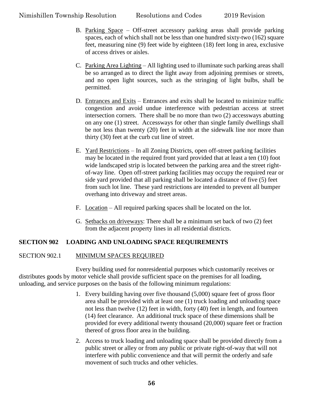Nimishillen Township Resolution Resolutions and Codes 2019 Revision

- B. Parking Space Off-street accessory parking areas shall provide parking spaces, each of which shall not be less than one hundred sixty-two (162) square feet, measuring nine (9) feet wide by eighteen (18) feet long in area, exclusive of access drives or aisles.
- C. Parking Area Lighting All lighting used to illuminate such parking areas shall be so arranged as to direct the light away from adjoining premises or streets, and no open light sources, such as the stringing of light bulbs, shall be permitted.
- D. Entrances and Exits Entrances and exits shall be located to minimize traffic congestion and avoid undue interference with pedestrian access at street intersection corners. There shall be no more than two (2) accessways abutting on any one (1) street. Accessways for other than single family dwellings shall be not less than twenty (20) feet in width at the sidewalk line nor more than thirty (30) feet at the curb cut line of street.
- E. Yard Restrictions In all Zoning Districts, open off-street parking facilities may be located in the required front yard provided that at least a ten (10) foot wide landscaped strip is located between the parking area and the street rightof-way line. Open off-street parking facilities may occupy the required rear or side yard provided that all parking shall be located a distance of five (5) feet from such lot line. These yard restrictions are intended to prevent all bumper overhang into driveway and street areas.
- F. Location All required parking spaces shall be located on the lot.
- G. Setbacks on driveways: There shall be a minimum set back of two (2) feet from the adjacent property lines in all residential districts.

# **SECTION 902 LOADING AND UNLOADING SPACE REQUIREMENTS**

# SECTION 902.1 MINIMUM SPACES REQUIRED

Every building used for nonresidential purposes which customarily receives or distributes goods by motor vehicle shall provide sufficient space on the premises for all loading, unloading, and service purposes on the basis of the following minimum regulations:

- 1. Every building having over five thousand (5,000) square feet of gross floor area shall be provided with at least one (1) truck loading and unloading space not less than twelve (12) feet in width, forty (40) feet in length, and fourteen (14) feet clearance. An additional truck space of these dimensions shall be provided for every additional twenty thousand (20,000) square feet or fraction thereof of gross floor area in the building.
- 2. Access to truck loading and unloading space shall be provided directly from a public street or alley or from any public or private right-of-way that will not interfere with public convenience and that will permit the orderly and safe movement of such trucks and other vehicles.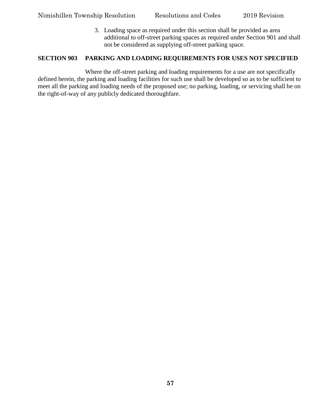3. Loading space as required under this section shall be provided as area additional to off-street parking spaces as required under Section 901 and shall not be considered as supplying off-street parking space.

# **SECTION 903 PARKING AND LOADING REQUIREMENTS FOR USES NOT SPECIFIED**

Where the off-street parking and loading requirements for a use are not specifically defined herein, the parking and loading facilities for such use shall be developed so as to be sufficient to meet all the parking and loading needs of the proposed use; no parking, loading, or servicing shall be on the right-of-way of any publicly dedicated thoroughfare.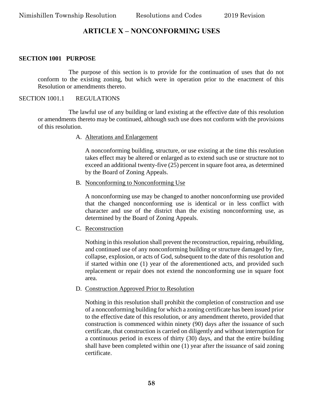# **ARTICLE X – NONCONFORMING USES**

## **SECTION 1001 PURPOSE**

The purpose of this section is to provide for the continuation of uses that do not conform to the existing zoning, but which were in operation prior to the enactment of this Resolution or amendments thereto.

### SECTION 1001.1 REGULATIONS

The lawful use of any building or land existing at the effective date of this resolution or amendments thereto may be continued, although such use does not conform with the provisions of this resolution.

### A. Alterations and Enlargement

A nonconforming building, structure, or use existing at the time this resolution takes effect may be altered or enlarged as to extend such use or structure not to exceed an additional twenty-five  $(25)$  percent in square foot area, as determined by the Board of Zoning Appeals.

B. Nonconforming to Nonconforming Use

A nonconforming use may be changed to another nonconforming use provided that the changed nonconforming use is identical or in less conflict with character and use of the district than the existing nonconforming use, as determined by the Board of Zoning Appeals.

### C. Reconstruction

Nothing in this resolution shall prevent the reconstruction, repairing, rebuilding, and continued use of any nonconforming building or structure damaged by fire, collapse, explosion, or acts of God, subsequent to the date of this resolution and if started within one (1) year of the aforementioned acts, and provided such replacement or repair does not extend the nonconforming use in square foot area.

### D. Construction Approved Prior to Resolution

Nothing in this resolution shall prohibit the completion of construction and use of a nonconforming building for which a zoning certificate has been issued prior to the effective date of this resolution, or any amendment thereto, provided that construction is commenced within ninety (90) days after the issuance of such certificate, that construction is carried on diligently and without interruption for a continuous period in excess of thirty (30) days, and that the entire building shall have been completed within one (1) year after the issuance of said zoning certificate.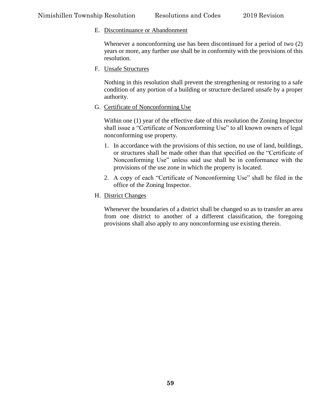# E. Discontinuance or Abandonment

Whenever a nonconforming use has been discontinued for a period of two (2) years or more, any further use shall be in conformity with the provisions of this resolution.

F. Unsafe Structures

Nothing in this resolution shall prevent the strengthening or restoring to a safe condition of any portion of a building or structure declared unsafe by a proper authority.

G. Certificate of Nonconforming Use

Within one (1) year of the effective date of this resolution the Zoning Inspector shall issue a "Certificate of Nonconforming Use" to all known owners of legal nonconforming use property.

- 1. In accordance with the provisions of this section, no use of land, buildings, or structures shall be made other than that specified on the "Certificate of Nonconforming Use" unless said use shall be in conformance with the provisions of the use zone in which the property is located.
- 2. A copy of each "Certificate of Nonconforming Use" shall be filed in the office of the Zoning Inspector.
- H. District Changes

Whenever the boundaries of a district shall be changed so as to transfer an area from one district to another of a different classification, the foregoing provisions shall also apply to any nonconforming use existing therein.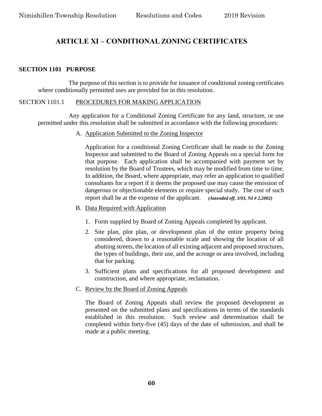# **ARTICLE XI – CONDITIONAL ZONING CERTIFICATES**

# **SECTION 1101 PURPOSE**

The purpose of this section is to provide for issuance of conditional zoning certificates where conditionally permitted uses are provided for in this resolution.

## SECTION 1101.1 PROCEDURES FOR MAKING APPLICATION

Any application for a Conditional Zoning Certificate for any land, structure, or use permitted under this resolution shall be submitted in accordance with the following procedures:

A. Application Submitted to the Zoning Inspector

Application for a conditional Zoning Certificate shall be made to the Zoning Inspector and submitted to the Board of Zoning Appeals on a special form for that purpose. Each application shall be accompanied with payment set by resolution by the Board of Trustees, which may be modified from time to time. In addition, the Board, where appropriate, may refer an application to qualified consultants for a report if it deems the proposed use may cause the emission of dangerous or objectionable elements or require special study. The cost of such report shall be at the expense of the applicant. *(Amended eff. 3/03, NI # 2,2002)*

- B. Data Required with Application
	- 1. Form supplied by Board of Zoning Appeals completed by applicant.
	- 2. Site plan, plot plan, or development plan of the entire property being considered, drawn to a reasonable scale and showing the location of all abutting streets, the location of all existing adjacent and proposed structures, the types of buildings, their use, and the acreage or area involved, including that for parking.
	- 3. Sufficient plans and specifications for all proposed development and construction, and where appropriate, reclamation.
- C. Review by the Board of Zoning Appeals

The Board of Zoning Appeals shall review the proposed development as presented on the submitted plans and specifications in terms of the standards established in this resolution. Such review and determination shall be completed within forty-five (45) days of the date of submission, and shall be made at a public meeting.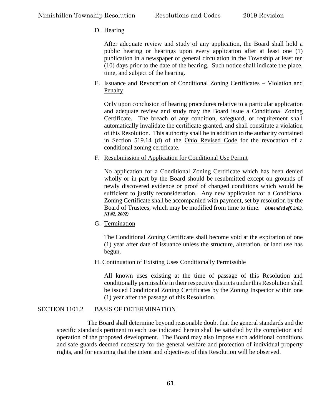# D. Hearing

After adequate review and study of any application, the Board shall hold a public hearing or hearings upon every application after at least one (1) publication in a newspaper of general circulation in the Township at least ten (10) days prior to the date of the hearing. Such notice shall indicate the place, time, and subject of the hearing.

E. Issuance and Revocation of Conditional Zoning Certificates – Violation and Penalty

Only upon conclusion of hearing procedures relative to a particular application and adequate review and study may the Board issue a Conditional Zoning Certificate. The breach of any condition, safeguard, or requirement shall automatically invalidate the certificate granted, and shall constitute a violation of this Resolution. This authority shall be in addition to the authority contained in Section 519.14 (d) of the Ohio Revised Code for the revocation of a conditional zoning certificate.

F. Resubmission of Application for Conditional Use Permit

No application for a Conditional Zoning Certificate which has been denied wholly or in part by the Board should be resubmitted except on grounds of newly discovered evidence or proof of changed conditions which would be sufficient to justify reconsideration. Any new application for a Conditional Zoning Certificate shall be accompanied with payment, set by resolution by the Board of Trustees, which may be modified from time to time. *(Amended eff. 3/03, NI #2, 2002)*

G. Termination

The Conditional Zoning Certificate shall become void at the expiration of one (1) year after date of issuance unless the structure, alteration, or land use has begun.

H. Continuation of Existing Uses Conditionally Permissible

All known uses existing at the time of passage of this Resolution and conditionally permissible in their respective districts under this Resolution shall be issued Conditional Zoning Certificates by the Zoning Inspector within one (1) year after the passage of this Resolution.

# SECTION 1101.2 BASIS OF DETERMINATION

The Board shall determine beyond reasonable doubt that the general standards and the specific standards pertinent to each use indicated herein shall be satisfied by the completion and operation of the proposed development. The Board may also impose such additional conditions and safe guards deemed necessary for the general welfare and protection of individual property rights, and for ensuring that the intent and objectives of this Resolution will be observed.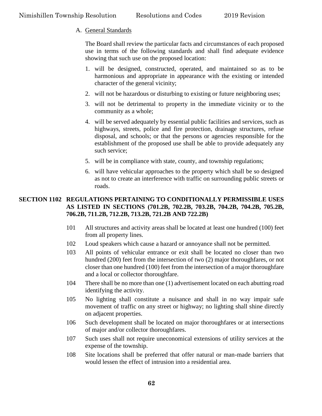# A. General Standards

The Board shall review the particular facts and circumstances of each proposed use in terms of the following standards and shall find adequate evidence showing that such use on the proposed location:

- 1. will be designed, constructed, operated, and maintained so as to be harmonious and appropriate in appearance with the existing or intended character of the general vicinity;
- 2. will not be hazardous or disturbing to existing or future neighboring uses;
- 3. will not be detrimental to property in the immediate vicinity or to the community as a whole;
- 4. will be served adequately by essential public facilities and services, such as highways, streets, police and fire protection, drainage structures, refuse disposal, and schools; or that the persons or agencies responsible for the establishment of the proposed use shall be able to provide adequately any such service;
- 5. will be in compliance with state, county, and township regulations;
- 6. will have vehicular approaches to the property which shall be so designed as not to create an interference with traffic on surrounding public streets or roads.

# **SECTION 1102 REGULATIONS PERTAINING TO CONDITIONALLY PERMISSIBLE USES AS LISTED IN SECTIONS (701.2B, 702.2B, 703.2B, 704.2B, 704.2B, 705.2B, 706.2B, 711.2B, 712.2B, 713.2B, 721.2B AND 722.2B)**

- 101 All structures and activity areas shall be located at least one hundred (100) feet from all property lines.
- 102 Loud speakers which cause a hazard or annoyance shall not be permitted.
- 103 All points of vehicular entrance or exit shall be located no closer than two hundred (200) feet from the intersection of two (2) major thoroughfares, or not closer than one hundred (100) feet from the intersection of a major thoroughfare and a local or collector thoroughfare.
- 104 There shall be no more than one (1) advertisement located on each abutting road identifying the activity.
- 105 No lighting shall constitute a nuisance and shall in no way impair safe movement of traffic on any street or highway; no lighting shall shine directly on adjacent properties.
- 106 Such development shall be located on major thoroughfares or at intersections of major and/or collector thoroughfares.
- 107 Such uses shall not require uneconomical extensions of utility services at the expense of the township.
- 108 Site locations shall be preferred that offer natural or man-made barriers that would lessen the effect of intrusion into a residential area.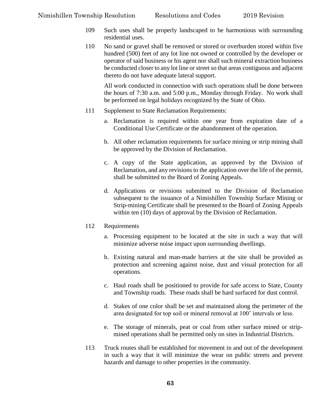- 109 Such uses shall be properly landscaped to be harmonious with surrounding residential uses.
- 110 No sand or gravel shall be removed or stored or overburden stored within five hundred (500) feet of any lot line not owned or controlled by the developer or operator of said business or his agent nor shall such mineral extraction business be conducted closer to any lot line or street so that areas contiguous and adjacent thereto do not have adequate lateral support.

All work conducted in connection with such operations shall be done between the hours of 7:30 a.m. and 5:00 p.m., Monday through Friday. No work shall be performed on legal holidays recognized by the State of Ohio.

- 111 Supplement to State Reclamation Requirements:
	- a. Reclamation is required within one year from expiration date of a Conditional Use Certificate or the abandonment of the operation.
	- b. All other reclamation requirements for surface mining or strip mining shall be approved by the Division of Reclamation.
	- c. A copy of the State application, as approved by the Division of Reclamation, and any revisions to the application over the life of the permit, shall be submitted to the Board of Zoning Appeals.
	- d. Applications or revisions submitted to the Division of Reclamation subsequent to the issuance of a Nimishillen Township Surface Mining or Strip-mining Certificate shall be presented to the Board of Zoning Appeals within ten (10) days of approval by the Division of Reclamation.

### 112 Requirements

- a. Processing equipment to be located at the site in such a way that will minimize adverse noise impact upon surrounding dwellings.
- b. Existing natural and man-made barriers at the site shall be provided as protection and screening against noise, dust and visual protection for all operations.
- c. Haul roads shall be positioned to provide for safe access to State, County and Township roads. These roads shall be hard surfaced for dust control.
- d. Stakes of one color shall be set and maintained along the perimeter of the area designated for top soil or mineral removal at 100' intervals or less.
- e. The storage of minerals, peat or coal from other surface mined or stripmined operations shall be permitted only on sites in Industrial Districts.
- 113 Truck routes shall be established for movement in and out of the development in such a way that it will minimize the wear on public streets and prevent hazards and damage to other properties in the community.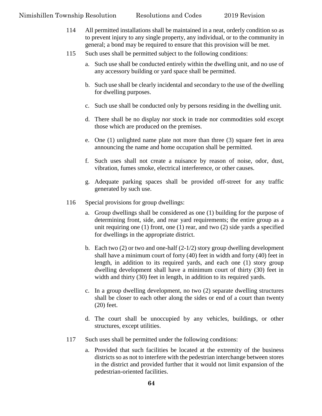- 114 All permitted installations shall be maintained in a neat, orderly condition so as to prevent injury to any single property, any individual, or to the community in general; a bond may be required to ensure that this provision will be met.
- 115 Such uses shall be permitted subject to the following conditions:
	- a. Such use shall be conducted entirely within the dwelling unit, and no use of any accessory building or yard space shall be permitted.
	- b. Such use shall be clearly incidental and secondary to the use of the dwelling for dwelling purposes.
	- c. Such use shall be conducted only by persons residing in the dwelling unit.
	- d. There shall be no display nor stock in trade nor commodities sold except those which are produced on the premises.
	- e. One (1) unlighted name plate not more than three (3) square feet in area announcing the name and home occupation shall be permitted.
	- f. Such uses shall not create a nuisance by reason of noise, odor, dust, vibration, fumes smoke, electrical interference, or other causes.
	- g. Adequate parking spaces shall be provided off-street for any traffic generated by such use.
- 116 Special provisions for group dwellings:
	- a. Group dwellings shall be considered as one (1) building for the purpose of determining front, side, and rear yard requirements; the entire group as a unit requiring one (1) front, one (1) rear, and two (2) side yards a specified for dwellings in the appropriate district.
	- b. Each two  $(2)$  or two and one-half  $(2-1/2)$  story group dwelling development shall have a minimum court of forty (40) feet in width and forty (40) feet in length, in addition to its required yards, and each one (1) story group dwelling development shall have a minimum court of thirty (30) feet in width and thirty (30) feet in length, in addition to its required yards.
	- c. In a group dwelling development, no two (2) separate dwelling structures shall be closer to each other along the sides or end of a court than twenty (20) feet.
	- d. The court shall be unoccupied by any vehicles, buildings, or other structures, except utilities.
- 117 Such uses shall be permitted under the following conditions:
	- a. Provided that such facilities be located at the extremity of the business districts so as not to interfere with the pedestrian interchange between stores in the district and provided further that it would not limit expansion of the pedestrian-oriented facilities.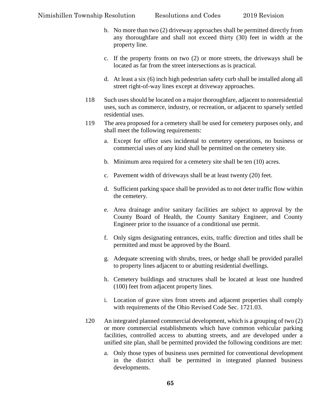- b. No more than two (2) driveway approaches shall be permitted directly from any thoroughfare and shall not exceed thirty (30) feet in width at the property line.
- c. If the property fronts on two (2) or more streets, the driveways shall be located as far from the street intersections as is practical.
- d. At least a six (6) inch high pedestrian safety curb shall be installed along all street right-of-way lines except at driveway approaches.
- 118 Such uses should be located on a major thoroughfare, adjacent to nonresidential uses, such as commerce, industry, or recreation, or adjacent to sparsely settled residential uses.
- 119 The area proposed for a cemetery shall be used for cemetery purposes only, and shall meet the following requirements:
	- a. Except for office uses incidental to cemetery operations, no business or commercial uses of any kind shall be permitted on the cemetery site.
	- b. Minimum area required for a cemetery site shall be ten (10) acres.
	- c. Pavement width of driveways shall be at least twenty (20) feet.
	- d. Sufficient parking space shall be provided as to not deter traffic flow within the cemetery.
	- e. Area drainage and/or sanitary facilities are subject to approval by the County Board of Health, the County Sanitary Engineer, and County Engineer prior to the issuance of a conditional use permit.
	- f. Only signs designating entrances, exits, traffic direction and titles shall be permitted and must be approved by the Board.
	- g. Adequate screening with shrubs, trees, or hedge shall be provided parallel to property lines adjacent to or abutting residential dwellings.
	- h. Cemetery buildings and structures shall be located at least one hundred (100) feet from adjacent property lines.
	- i. Location of grave sites from streets and adjacent properties shall comply with requirements of the Ohio Revised Code Sec. 1721.03.
- 120 An integrated planned commercial development, which is a grouping of two (2) or more commercial establishments which have common vehicular parking facilities, controlled access to abutting streets, and are developed under a unified site plan, shall be permitted provided the following conditions are met:
	- a. Only those types of business uses permitted for conventional development in the district shall be permitted in integrated planned business developments.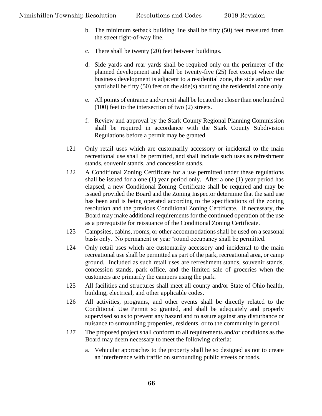- b. The minimum setback building line shall be fifty (50) feet measured from the street right-of-way line.
- c. There shall be twenty (20) feet between buildings.
- d. Side yards and rear yards shall be required only on the perimeter of the planned development and shall be twenty-five (25) feet except where the business development is adjacent to a residential zone, the side and/or rear yard shall be fifty (50) feet on the side(s) abutting the residential zone only.
- e. All points of entrance and/or exit shall be located no closer than one hundred (100) feet to the intersection of two (2) streets.
- f. Review and approval by the Stark County Regional Planning Commission shall be required in accordance with the Stark County Subdivision Regulations before a permit may be granted.
- 121 Only retail uses which are customarily accessory or incidental to the main recreational use shall be permitted, and shall include such uses as refreshment stands, souvenir stands, and concession stands.
- 122 A Conditional Zoning Certificate for a use permitted under these regulations shall be issued for a one (1) year period only. After a one (1) year period has elapsed, a new Conditional Zoning Certificate shall be required and may be issued provided the Board and the Zoning Inspector determine that the said use has been and is being operated according to the specifications of the zoning resolution and the previous Conditional Zoning Certificate. If necessary, the Board may make additional requirements for the continued operation of the use as a prerequisite for reissuance of the Conditional Zoning Certificate.
- 123 Campsites, cabins, rooms, or other accommodations shall be used on a seasonal basis only. No permanent or year 'round occupancy shall be permitted.
- 124 Only retail uses which are customarily accessory and incidental to the main recreational use shall be permitted as part of the park, recreational area, or camp ground. Included as such retail uses are refreshment stands, souvenir stands, concession stands, park office, and the limited sale of groceries when the customers are primarily the campers using the park.
- 125 All facilities and structures shall meet all county and/or State of Ohio health, building, electrical, and other applicable codes.
- 126 All activities, programs, and other events shall be directly related to the Conditional Use Permit so granted, and shall be adequately and properly supervised so as to prevent any hazard and to assure against any disturbance or nuisance to surrounding properties, residents, or to the community in general.
- 127 The proposed project shall conform to all requirements and/or conditions as the Board may deem necessary to meet the following criteria:
	- a. Vehicular approaches to the property shall be so designed as not to create an interference with traffic on surrounding public streets or roads.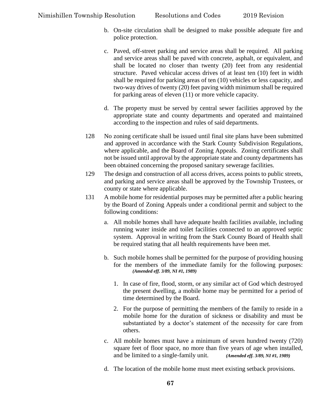- b. On-site circulation shall be designed to make possible adequate fire and police protection.
- c. Paved, off-street parking and service areas shall be required. All parking and service areas shall be paved with concrete, asphalt, or equivalent, and shall be located no closer than twenty (20) feet from any residential structure. Paved vehicular access drives of at least ten (10) feet in width shall be required for parking areas of ten (10) vehicles or less capacity, and two-way drives of twenty (20) feet paving width minimum shall be required for parking areas of eleven (11) or more vehicle capacity.
- d. The property must be served by central sewer facilities approved by the appropriate state and county departments and operated and maintained according to the inspection and rules of said departments.
- 128 No zoning certificate shall be issued until final site plans have been submitted and approved in accordance with the Stark County Subdivision Regulations, where applicable, and the Board of Zoning Appeals. Zoning certificates shall not be issued until approval by the appropriate state and county departments has been obtained concerning the proposed sanitary sewerage facilities.
- 129 The design and construction of all access drives, access points to public streets, and parking and service areas shall be approved by the Township Trustees, or county or state where applicable.
- 131 A mobile home for residential purposes may be permitted after a public hearing by the Board of Zoning Appeals under a conditional permit and subject to the following conditions:
	- a. All mobile homes shall have adequate health facilities available, including running water inside and toilet facilities connected to an approved septic system. Approval in writing from the Stark County Board of Health shall be required stating that all health requirements have been met.
	- b. Such mobile homes shall be permitted for the purpose of providing housing for the members of the immediate family for the following purposes: *(Amended eff. 3/89, NI #1, 1989)*
		- 1. In case of fire, flood, storm, or any similar act of God which destroyed the present dwelling, a mobile home may be permitted for a period of time determined by the Board.
		- 2. For the purpose of permitting the members of the family to reside in a mobile home for the duration of sickness or disability and must be substantiated by a doctor's statement of the necessity for care from others.
	- c. All mobile homes must have a minimum of seven hundred twenty (720) square feet of floor space, no more than five years of age when installed, and be limited to a single-family unit. *(Amended eff. 3/89, NI #1, 1989)*
	- d. The location of the mobile home must meet existing setback provisions.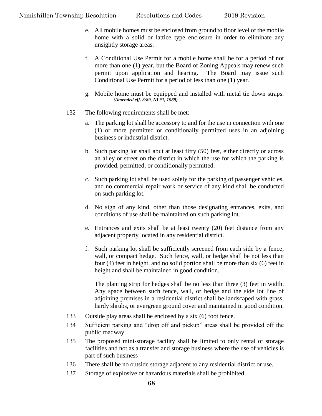- e. All mobile homes must be enclosed from ground to floor level of the mobile home with a solid or lattice type enclosure in order to eliminate any unsightly storage areas.
- f. A Conditional Use Permit for a mobile home shall be for a period of not more than one (1) year, but the Board of Zoning Appeals may renew such permit upon application and hearing. The Board may issue such Conditional Use Permit for a period of less than one (1) year.
- g. Mobile home must be equipped and installed with metal tie down straps. *(Amended eff. 3/89, NI #1, 1989)*
- 132 The following requirements shall be met:
	- a. The parking lot shall be accessory to and for the use in connection with one (1) or more permitted or conditionally permitted uses in an adjoining business or industrial district.
	- b. Such parking lot shall abut at least fifty (50) feet, either directly or across an alley or street on the district in which the use for which the parking is provided, permitted, or conditionally permitted.
	- c. Such parking lot shall be used solely for the parking of passenger vehicles, and no commercial repair work or service of any kind shall be conducted on such parking lot.
	- d. No sign of any kind, other than those designating entrances, exits, and conditions of use shall be maintained on such parking lot.
	- e. Entrances and exits shall be at least twenty (20) feet distance from any adjacent property located in any residential district.
	- f. Such parking lot shall be sufficiently screened from each side by a fence, wall, or compact hedge. Such fence, wall, or hedge shall be not less than four (4) feet in height, and no solid portion shall be more than six (6) feet in height and shall be maintained in good condition.

The planting strip for hedges shall be no less than three (3) feet in width. Any space between such fence, wall, or hedge and the side lot line of adjoining premises in a residential district shall be landscaped with grass, hardy shrubs, or evergreen ground cover and maintained in good condition.

- 133 Outside play areas shall be enclosed by a six (6) foot fence.
- 134 Sufficient parking and "drop off and pickup" areas shall be provided off the public roadway.
- 135 The proposed mini-storage facility shall be limited to only rental of storage facilities and not as a transfer and storage business where the use of vehicles is part of such business
- 136 There shall be no outside storage adjacent to any residential district or use.
- 137 Storage of explosive or hazardous materials shall be prohibited.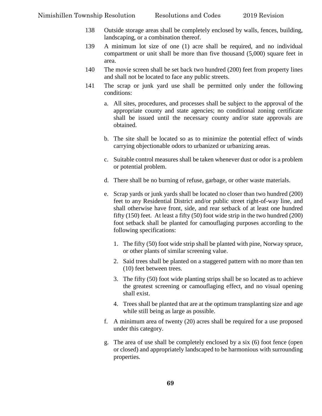- 138 Outside storage areas shall be completely enclosed by walls, fences, building, landscaping, or a combination thereof.
- 139 A minimum lot size of one (1) acre shall be required, and no individual compartment or unit shall be more than five thousand (5,000) square feet in area.
- 140 The movie screen shall be set back two hundred (200) feet from property lines and shall not be located to face any public streets.
- 141 The scrap or junk yard use shall be permitted only under the following conditions:
	- a. All sites, procedures, and processes shall be subject to the approval of the appropriate county and state agencies; no conditional zoning certificate shall be issued until the necessary county and/or state approvals are obtained.
	- b. The site shall be located so as to minimize the potential effect of winds carrying objectionable odors to urbanized or urbanizing areas.
	- c. Suitable control measures shall be taken whenever dust or odor is a problem or potential problem.
	- d. There shall be no burning of refuse, garbage, or other waste materials.
	- e. Scrap yards or junk yards shall be located no closer than two hundred (200) feet to any Residential District and/or public street right-of-way line, and shall otherwise have front, side, and rear setback of at least one hundred fifty (150) feet. At least a fifty (50) foot wide strip in the two hundred (200) foot setback shall be planted for camouflaging purposes according to the following specifications:
		- 1. The fifty (50) foot wide strip shall be planted with pine, Norway spruce, or other plants of similar screening value.
		- 2. Said trees shall be planted on a staggered pattern with no more than ten (10) feet between trees.
		- 3. The fifty (50) foot wide planting strips shall be so located as to achieve the greatest screening or camouflaging effect, and no visual opening shall exist.
		- 4. Trees shall be planted that are at the optimum transplanting size and age while still being as large as possible.
	- f. A minimum area of twenty (20) acres shall be required for a use proposed under this category.
	- g. The area of use shall be completely enclosed by a six (6) foot fence (open or closed) and appropriately landscaped to be harmonious with surrounding properties.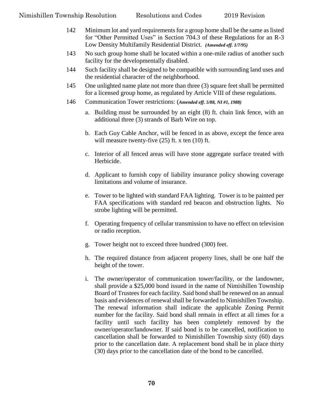- 142 Minimum lot and yard requirements for a group home shall be the same as listed for "Other Permitted Uses" in Section 704.3 of these Regulations for an R-3 Low Density Multifamily Residential District. *(Amended eff. 1/7/95)*
- 143 No such group home shall be located within a one-mile radius of another such facility for the developmentally disabled.
- 144 Such facility shall be designed to be compatible with surrounding land uses and the residential character of the neighborhood.
- 145 One unlighted name plate not more than three (3) square feet shall be permitted for a licensed group home, as regulated by Article VIII of these regulations.
- 146 Communication Tower restrictions: (*Amended eff. 5/88, NI #1, 1988)*
	- a. Building must be surrounded by an eight (8) ft. chain link fence, with an additional three (3) strands of Barb Wire on top.
	- b. Each Guy Cable Anchor, will be fenced in as above, except the fence area will measure twenty-five (25) ft. x ten (10) ft.
	- c. Interior of all fenced areas will have stone aggregate surface treated with Herbicide.
	- d. Applicant to furnish copy of liability insurance policy showing coverage limitations and volume of insurance.
	- e. Tower to be lighted with standard FAA lighting. Tower is to be painted per FAA specifications with standard red beacon and obstruction lights. No strobe lighting will be permitted.
	- f. Operating frequency of cellular transmission to have no effect on television or radio reception.
	- g. Tower height not to exceed three hundred (300) feet.
	- h. The required distance from adjacent property lines, shall be one half the height of the tower.
	- i. The owner/operator of communication tower/facility, or the landowner, shall provide a \$25,000 bond issued in the name of Nimishillen Township Board of Trustees for each facility. Said bond shall be renewed on an annual basis and evidences of renewal shall be forwarded to Nimishillen Township. The renewal information shall indicate the applicable Zoning Permit number for the facility. Said bond shall remain in effect at all times for a facility until such facility has been completely removed by the owner/operator/landowner. If said bond is to be cancelled, notification to cancellation shall be forwarded to Nimishillen Township sixty (60) days prior to the cancellation date. A replacement bond shall be in place thirty (30) days prior to the cancellation date of the bond to be cancelled.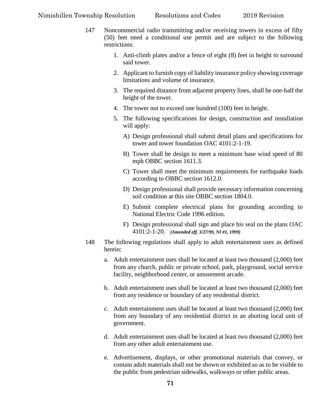- 147 Noncommercial radio transmitting and/or receiving towers in excess of fifty (50) feet need a conditional use permit and are subject to the following restrictions:
	- 1. Anti-climb plates and/or a fence of eight (8) feet in height to surround said tower.
	- 2. Applicant to furnish copy of liability insurance policy showing coverage limitations and volume of insurance.
	- 3. The required distance from adjacent property lines, shall be one-half the height of the tower.
	- 4. The tower not to exceed one hundred (100) feet in height.
	- 5. The following specifications for design, construction and installation will apply:
		- A) Design professional shall submit detail plans and specifications for tower and tower foundation OAC 4101:2-1-19.
		- B) Tower shall be design to meet a minimum base wind speed of 80 mph OBBC section 1611.3.
		- C) Tower shall meet the minimum requirements for earthquake loads according to OBBC section 1612.0.
		- D) Design professional shall provide necessary information concerning soil condition at this site OBBC section 1804.0.
		- E) Submit complete electrical plans for grounding according to National Electric Code 1996 edition.
		- F) Design professional shall sign and place his seal on the plans OAC 4101:2-1-20. *(Amended eff. 3/27/99, NI #1, 1999)*
- 148 The following regulations shall apply to adult entertainment uses as defined herein:
	- a. Adult entertainment uses shall be located at least two thousand (2,000) feet from any church, public or private school, park, playground, social service facility, neighborhood center, or amusement arcade.
	- b. Adult entertainment uses shall be located at least two thousand (2,000) feet from any residence or boundary of any residential district.
	- c. Adult entertainment uses shall be located at least two thousand (2,000) feet from any boundary of any residential district in an abutting local unit of government.
	- d. Adult entertainment uses shall be located at least two thousand (2,000) feet from any other adult entertainment use.
	- e. Advertisement, displays, or other promotional materials that convey, or contain adult materials shall not be shown or exhibited so as to be visible to the public from pedestrian sidewalks, walkways or other public areas.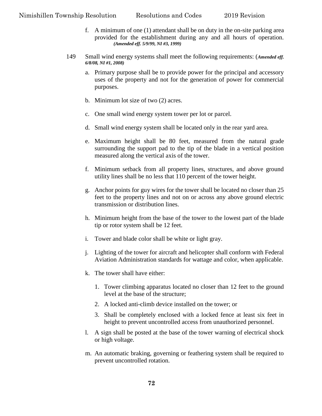- f. A minimum of one (1) attendant shall be on duty in the on-site parking area provided for the establishment during any and all hours of operation. *(Amended eff. 5/9/99, NI #3, 1999)*
- 149 Small wind energy systems shall meet the following requirements: (*Amended eff. 6/8/08, NI #1, 2008)*
	- a. Primary purpose shall be to provide power for the principal and accessory uses of the property and not for the generation of power for commercial purposes.
	- b. Minimum lot size of two (2) acres.
	- c. One small wind energy system tower per lot or parcel.
	- d. Small wind energy system shall be located only in the rear yard area.
	- e. Maximum height shall be 80 feet, measured from the natural grade surrounding the support pad to the tip of the blade in a vertical position measured along the vertical axis of the tower.
	- f. Minimum setback from all property lines, structures, and above ground utility lines shall be no less that 110 percent of the tower height.
	- g. Anchor points for guy wires for the tower shall be located no closer than 25 feet to the property lines and not on or across any above ground electric transmission or distribution lines.
	- h. Minimum height from the base of the tower to the lowest part of the blade tip or rotor system shall be 12 feet.
	- i. Tower and blade color shall be white or light gray.
	- j. Lighting of the tower for aircraft and helicopter shall conform with Federal Aviation Administration standards for wattage and color, when applicable.
	- k. The tower shall have either:
		- 1. Tower climbing apparatus located no closer than 12 feet to the ground level at the base of the structure;
		- 2. A locked anti-climb device installed on the tower; or
		- 3. Shall be completely enclosed with a locked fence at least six feet in height to prevent uncontrolled access from unauthorized personnel.
	- l. A sign shall be posted at the base of the tower warning of electrical shock or high voltage.
	- m. An automatic braking, governing or feathering system shall be required to prevent uncontrolled rotation.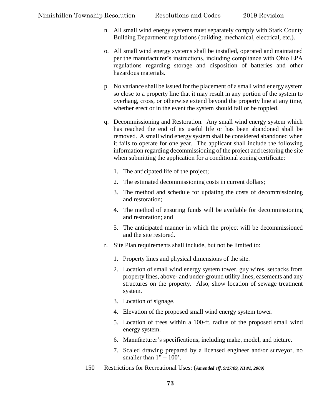- n. All small wind energy systems must separately comply with Stark County Building Department regulations (building, mechanical, electrical, etc.).
- o. All small wind energy systems shall be installed, operated and maintained per the manufacturer's instructions, including compliance with Ohio EPA regulations regarding storage and disposition of batteries and other hazardous materials.
- p. No variance shall be issued for the placement of a small wind energy system so close to a property line that it may result in any portion of the system to overhang, cross, or otherwise extend beyond the property line at any time, whether erect or in the event the system should fall or be toppled.
- q. Decommissioning and Restoration. Any small wind energy system which has reached the end of its useful life or has been abandoned shall be removed. A small wind energy system shall be considered abandoned when it fails to operate for one year. The applicant shall include the following information regarding decommissioning of the project and restoring the site when submitting the application for a conditional zoning certificate:
	- 1. The anticipated life of the project;
	- 2. The estimated decommissioning costs in current dollars;
	- 3. The method and schedule for updating the costs of decommissioning and restoration;
	- 4. The method of ensuring funds will be available for decommissioning and restoration; and
	- 5. The anticipated manner in which the project will be decommissioned and the site restored.
- r. Site Plan requirements shall include, but not be limited to:
	- 1. Property lines and physical dimensions of the site.
	- 2. Location of small wind energy system tower, guy wires, setbacks from property lines, above- and under-ground utility lines, easements and any structures on the property. Also, show location of sewage treatment system.
	- 3. Location of signage.
	- 4. Elevation of the proposed small wind energy system tower.
	- 5. Location of trees within a 100-ft. radius of the proposed small wind energy system.
	- 6. Manufacturer's specifications, including make, model, and picture.
	- 7. Scaled drawing prepared by a licensed engineer and/or surveyor, no smaller than  $1" = 100"$ .
- 150 Restrictions for Recreational Uses: (*Amended eff. 9/27/09, NI #1, 2009)*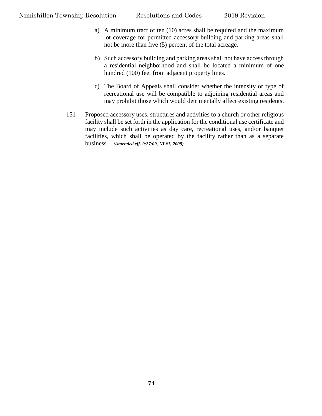- a) A minimum tract of ten (10) acres shall be required and the maximum lot coverage for permitted accessory building and parking areas shall not be more than five (5) percent of the total acreage.
- b) Such accessory building and parking areas shall not have access through a residential neighborhood and shall be located a minimum of one hundred (100) feet from adjacent property lines.
- c) The Board of Appeals shall consider whether the intensity or type of recreational use will be compatible to adjoining residential areas and may prohibit those which would detrimentally affect existing residents.
- 151 Proposed accessory uses, structures and activities to a church or other religious facility shall be set forth in the application for the conditional use certificate and may include such activities as day care, recreational uses, and/or banquet facilities, which shall be operated by the facility rather than as a separate business. *(Amended eff. 9/27/09, NI #1, 2009)*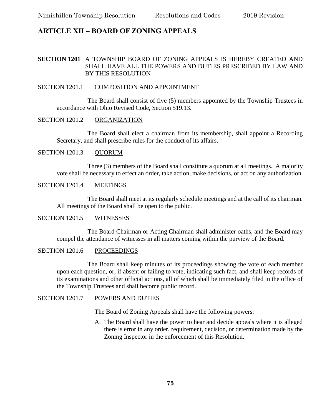## **ARTICLE XII – BOARD OF ZONING APPEALS**

## **SECTION 1201** A TOWNSHIP BOARD OF ZONING APPEALS IS HEREBY CREATED AND SHALL HAVE ALL THE POWERS AND DUTIES PRESCRIBED BY LAW AND BY THIS RESOLUTION

### SECTION 1201.1 COMPOSITION AND APPOINTMENT

The Board shall consist of five (5) members appointed by the Township Trustees in accordance with Ohio Revised Code, Section 519.13.

### SECTION 1201.2 ORGANIZATION

The Board shall elect a chairman from its membership, shall appoint a Recording Secretary, and shall prescribe rules for the conduct of its affairs.

#### SECTION 1201.3 QUORUM

Three (3) members of the Board shall constitute a quorum at all meetings. A majority vote shall be necessary to effect an order, take action, make decisions, or act on any authorization.

#### SECTION 1201.4 MEETINGS

The Board shall meet at its regularly schedule meetings and at the call of its chairman. All meetings of the Board shall be open to the public.

## SECTION 1201.5 WITNESSES

The Board Chairman or Acting Chairman shall administer oaths, and the Board may compel the attendance of witnesses in all matters coming within the purview of the Board.

#### SECTION 1201.6 PROCEEDINGS

The Board shall keep minutes of its proceedings showing the vote of each member upon each question, or, if absent or failing to vote, indicating such fact, and shall keep records of its examinations and other official actions, all of which shall be immediately filed in the office of the Township Trustees and shall become public record.

SECTION 1201.7 POWERS AND DUTIES

The Board of Zoning Appeals shall have the following powers:

A. The Board shall have the power to hear and decide appeals where it is alleged there is error in any order, requirement, decision, or determination made by the Zoning Inspector in the enforcement of this Resolution.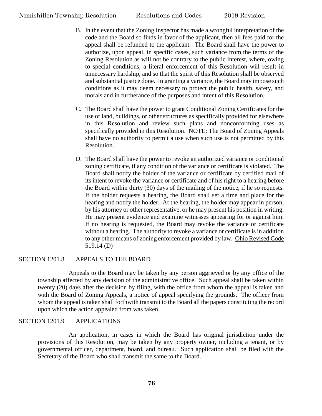- B. In the event that the Zoning Inspector has made a wrongful interpretation of the code and the Board so finds in favor of the applicant, then all fees paid for the appeal shall be refunded to the applicant. The Board shall have the power to authorize, upon appeal, in specific cases, such variance from the terms of the Zoning Resolution as will not be contrary to the public interest, where, owing to special conditions, a literal enforcement of this Resolution will result in unnecessary hardship, and so that the spirit of this Resolution shall be observed and substantial justice done. In granting a variance, the Board may impose such conditions as it may deem necessary to protect the public health, safety, and morals and in furtherance of the purposes and intent of this Resolution.
- C. The Board shall have the power to grant Conditional Zoning Certificates for the use of land, buildings, or other structures as specifically provided for elsewhere in this Resolution and review such plans and nonconforming uses as specifically provided in this Resolution. NOTE: The Board of Zoning Appeals shall have no authority to permit a use when such use is not permitted by this Resolution.
- D. The Board shall have the power to revoke an authorized variance or conditional zoning certificate, if any condition of the variance or certificate is violated. The Board shall notify the holder of the variance or certificate by certified mail of its intent to revoke the variance or certificate and of his right to a hearing before the Board within thirty (30) days of the mailing of the notice, if he so requests. If the holder requests a hearing, the Board shall set a time and place for the hearing and notify the holder. At the hearing, the holder may appear in person, by his attorney or other representative, or he may present his position in writing. He may present evidence and examine witnesses appearing for or against him. If no hearing is requested, the Board may revoke the variance or certificate without a hearing. The authority to revoke a variance or certificate is in addition to any other means of zoning enforcement provided by law. Ohio Revised Code 519.14 (D)

## SECTION 1201.8 APPEALS TO THE BOARD

Appeals to the Board may be taken by any person aggrieved or by any office of the township affected by any decision of the administrative office. Such appeal shall be taken within twenty (20) days after the decision by filing, with the office from whom the appeal is taken and with the Board of Zoning Appeals, a notice of appeal specifying the grounds. The officer from whom the appeal is taken shall forthwith transmit to the Board all the papers constituting the record upon which the action appealed from was taken.

## SECTION 1201.9 APPLICATIONS

An application, in cases in which the Board has original jurisdiction under the provisions of this Resolution, may be taken by any property owner, including a tenant, or by governmental officer, department, board, and bureau. Such application shall be filed with the Secretary of the Board who shall transmit the same to the Board.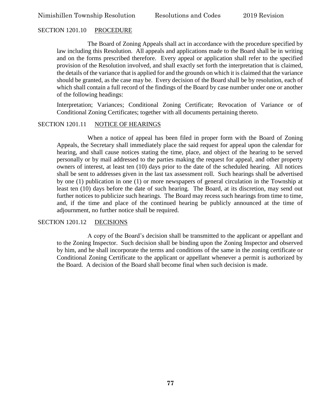## SECTION 1201.10 PROCEDURE

The Board of Zoning Appeals shall act in accordance with the procedure specified by law including this Resolution. All appeals and applications made to the Board shall be in writing and on the forms prescribed therefore. Every appeal or application shall refer to the specified provision of the Resolution involved, and shall exactly set forth the interpretation that is claimed, the details of the variance that is applied for and the grounds on which it is claimed that the variance should be granted, as the case may be. Every decision of the Board shall be by resolution, each of which shall contain a full record of the findings of the Board by case number under one or another of the following headings:

Interpretation; Variances; Conditional Zoning Certificate; Revocation of Variance or of Conditional Zoning Certificates; together with all documents pertaining thereto.

### SECTION 1201.11 NOTICE OF HEARINGS

When a notice of appeal has been filed in proper form with the Board of Zoning Appeals, the Secretary shall immediately place the said request for appeal upon the calendar for hearing, and shall cause notices stating the time, place, and object of the hearing to be served personally or by mail addressed to the parties making the request for appeal, and other property owners of interest, at least ten (10) days prior to the date of the scheduled hearing. All notices shall be sent to addresses given in the last tax assessment roll. Such hearings shall be advertised by one (1) publication in one (1) or more newspapers of general circulation in the Township at least ten (10) days before the date of such hearing. The Board, at its discretion, may send out further notices to publicize such hearings. The Board may recess such hearings from time to time, and, if the time and place of the continued hearing be publicly announced at the time of adjournment, no further notice shall be required.

## SECTION 1201.12 DECISIONS

A copy of the Board's decision shall be transmitted to the applicant or appellant and to the Zoning Inspector. Such decision shall be binding upon the Zoning Inspector and observed by him, and he shall incorporate the terms and conditions of the same in the zoning certificate or Conditional Zoning Certificate to the applicant or appellant whenever a permit is authorized by the Board. A decision of the Board shall become final when such decision is made.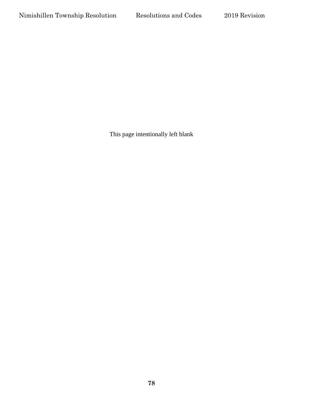This page intentionally left blank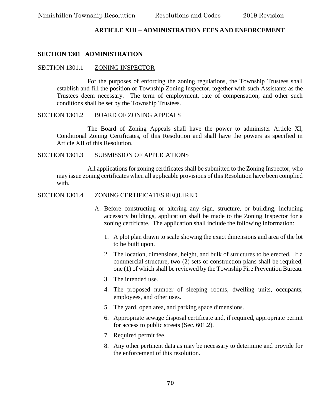## **ARTICLE XIII – ADMINISTRATION FEES AND ENFORCEMENT**

#### **SECTION 1301 ADMINISTRATION**

#### SECTION 1301.1 ZONING INSPECTOR

For the purposes of enforcing the zoning regulations, the Township Trustees shall establish and fill the position of Township Zoning Inspector, together with such Assistants as the Trustees deem necessary. The term of employment, rate of compensation, and other such conditions shall be set by the Township Trustees.

#### SECTION 1301.2 BOARD OF ZONING APPEALS

The Board of Zoning Appeals shall have the power to administer Article XI, Conditional Zoning Certificates, of this Resolution and shall have the powers as specified in Article XII of this Resolution.

#### SECTION 1301.3 SUBMISSION OF APPLICATIONS

All applications for zoning certificates shall be submitted to the Zoning Inspector, who may issue zoning certificates when all applicable provisions of this Resolution have been complied with.

#### SECTION 1301.4 ZONING CERTIFICATES REQUIRED

- A. Before constructing or altering any sign, structure, or building, including accessory buildings, application shall be made to the Zoning Inspector for a zoning certificate. The application shall include the following information:
	- 1. A plot plan drawn to scale showing the exact dimensions and area of the lot to be built upon.
	- 2. The location, dimensions, height, and bulk of structures to be erected. If a commercial structure, two (2) sets of construction plans shall be required, one (1) of which shall be reviewed by the Township Fire Prevention Bureau.
	- 3. The intended use.
	- 4. The proposed number of sleeping rooms, dwelling units, occupants, employees, and other uses.
	- 5. The yard, open area, and parking space dimensions.
	- 6. Appropriate sewage disposal certificate and, if required, appropriate permit for access to public streets (Sec. 601.2).
	- 7. Required permit fee.
	- 8. Any other pertinent data as may be necessary to determine and provide for the enforcement of this resolution.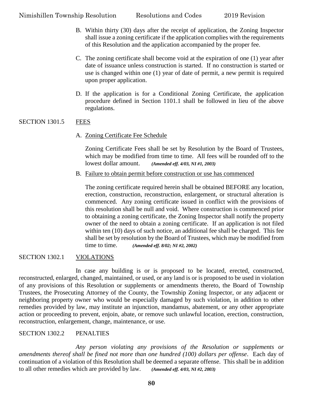- B. Within thirty (30) days after the receipt of application, the Zoning Inspector shall issue a zoning certificate if the application complies with the requirements of this Resolution and the application accompanied by the proper fee.
- C. The zoning certificate shall become void at the expiration of one (1) year after date of issuance unless construction is started. If no construction is started or use is changed within one (1) year of date of permit, a new permit is required upon proper application.
- D. If the application is for a Conditional Zoning Certificate, the application procedure defined in Section 1101.1 shall be followed in lieu of the above regulations.

## SECTION 1301.5 FEES

A. Zoning Certificate Fee Schedule

Zoning Certificate Fees shall be set by Resolution by the Board of Trustees, which may be modified from time to time. All fees will be rounded off to the lowest dollar amount. *(Amended eff. 4/03, NI #1, 2003)*

B. Failure to obtain permit before construction or use has commenced

The zoning certificate required herein shall be obtained BEFORE any location, erection, construction, reconstruction, enlargement, or structural alteration is commenced. Any zoning certificate issued in conflict with the provisions of this resolution shall be null and void. Where construction is commenced prior to obtaining a zoning certificate, the Zoning Inspector shall notify the property owner of the need to obtain a zoning certificate. If an application is not filed within ten (10) days of such notice, an additional fee shall be charged. This fee shall be set by resolution by the Board of Trustees, which may be modified from time to time. *(Amended eff. 8/02; NI #2, 2002)*

## SECTION 1302.1 VIOLATIONS

In case any building is or is proposed to be located, erected, constructed, reconstructed, enlarged, changed, maintained, or used, or any land is or is proposed to be used in violation of any provisions of this Resolution or supplements or amendments thereto, the Board of Township Trustees, the Prosecuting Attorney of the County, the Township Zoning Inspector, or any adjacent or neighboring property owner who would be especially damaged by such violation, in addition to other remedies provided by law, may institute an injunction, mandamus, abatement, or any other appropriate action or proceeding to prevent, enjoin, abate, or remove such unlawful location, erection, construction, reconstruction, enlargement, change, maintenance, or use.

## SECTION 1302.2 PENALTIES

*Any person violating any provisions of the Resolution or supplements or amendments thereof shall be fined not more than one hundred (100) dollars per offense*. Each day of continuation of a violation of this Resolution shall be deemed a separate offense. This shall be in addition to all other remedies which are provided by law. *(Amended eff. 4/03, NI #2, 2003)*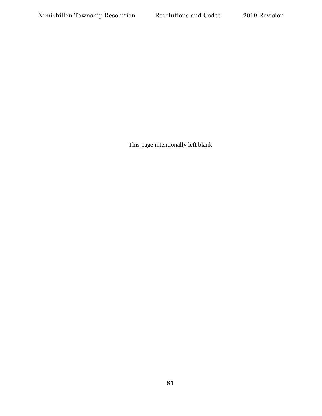This page intentionally left blank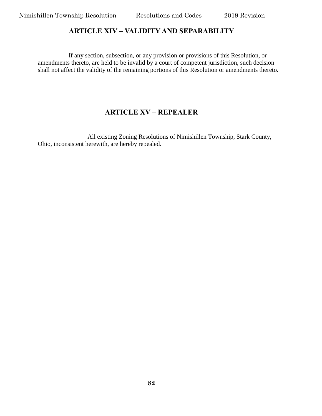## **ARTICLE XIV – VALIDITY AND SEPARABILITY**

If any section, subsection, or any provision or provisions of this Resolution, or amendments thereto, are held to be invalid by a court of competent jurisdiction, such decision shall not affect the validity of the remaining portions of this Resolution or amendments thereto.

# **ARTICLE XV – REPEALER**

All existing Zoning Resolutions of Nimishillen Township, Stark County, Ohio, inconsistent herewith, are hereby repealed.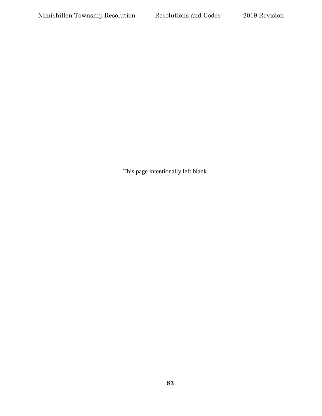This page intentionally left blank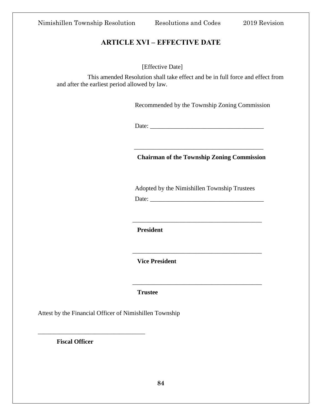# **ARTICLE XVI – EFFECTIVE DATE**

## [Effective Date]

This amended Resolution shall take effect and be in full force and effect from and after the earliest period allowed by law.

Recommended by the Township Zoning Commission

Date: \_\_\_\_\_\_\_\_\_\_\_\_\_\_\_\_\_\_\_\_\_\_\_\_\_\_\_\_\_\_\_\_\_\_\_\_

**Chairman of the Township Zoning Commission**

\_\_\_\_\_\_\_\_\_\_\_\_\_\_\_\_\_\_\_\_\_\_\_\_\_\_\_\_\_\_\_\_\_\_\_\_\_\_\_\_\_

Adopted by the Nimishillen Township Trustees Date: \_\_\_\_\_\_\_\_\_\_\_\_\_\_\_\_\_\_\_\_\_\_\_\_\_\_\_\_\_\_\_\_\_\_\_\_

\_\_\_\_\_\_\_\_\_\_\_\_\_\_\_\_\_\_\_\_\_\_\_\_\_\_\_\_\_\_\_\_\_\_\_\_\_\_\_\_\_

\_\_\_\_\_\_\_\_\_\_\_\_\_\_\_\_\_\_\_\_\_\_\_\_\_\_\_\_\_\_\_\_\_\_\_\_\_\_\_\_\_

\_\_\_\_\_\_\_\_\_\_\_\_\_\_\_\_\_\_\_\_\_\_\_\_\_\_\_\_\_\_\_\_\_\_\_\_\_\_\_\_\_

**President**

**Vice President**

**Trustee**

Attest by the Financial Officer of Nimishillen Township

**Fiscal Officer**

\_\_\_\_\_\_\_\_\_\_\_\_\_\_\_\_\_\_\_\_\_\_\_\_\_\_\_\_\_\_\_\_\_\_